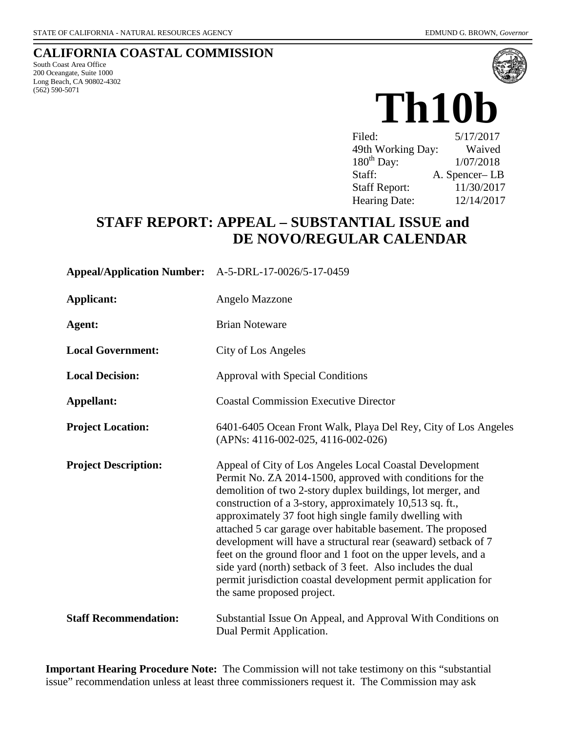## **CALIFORNIA COASTAL COMMISSION**

South Coast Area Office 200 Oceangate, Suite 1000 Long Beach, CA 90802-4302 (562) 590-5071



# **Th10b**

| Filed:               | 5/17/2017     |
|----------------------|---------------|
| 49th Working Day:    | Waived        |
| $180^{th}$ Day:      | 1/07/2018     |
| Staff:               | A. Spencer-LB |
| <b>Staff Report:</b> | 11/30/2017    |
| <b>Hearing Date:</b> | 12/14/2017    |

# **STAFF REPORT: APPEAL – SUBSTANTIAL ISSUE and DE NOVO/REGULAR CALENDAR**

| Appeal/Application Number: A-5-DRL-17-0026/5-17-0459 |                                                                                                                                                                                                                                                                                                                                                                                                                                                                                                                                                                                                                                                                             |
|------------------------------------------------------|-----------------------------------------------------------------------------------------------------------------------------------------------------------------------------------------------------------------------------------------------------------------------------------------------------------------------------------------------------------------------------------------------------------------------------------------------------------------------------------------------------------------------------------------------------------------------------------------------------------------------------------------------------------------------------|
| <b>Applicant:</b>                                    | Angelo Mazzone                                                                                                                                                                                                                                                                                                                                                                                                                                                                                                                                                                                                                                                              |
| Agent:                                               | <b>Brian Noteware</b>                                                                                                                                                                                                                                                                                                                                                                                                                                                                                                                                                                                                                                                       |
| <b>Local Government:</b>                             | City of Los Angeles                                                                                                                                                                                                                                                                                                                                                                                                                                                                                                                                                                                                                                                         |
| <b>Local Decision:</b>                               | Approval with Special Conditions                                                                                                                                                                                                                                                                                                                                                                                                                                                                                                                                                                                                                                            |
| Appellant:                                           | <b>Coastal Commission Executive Director</b>                                                                                                                                                                                                                                                                                                                                                                                                                                                                                                                                                                                                                                |
| <b>Project Location:</b>                             | 6401-6405 Ocean Front Walk, Playa Del Rey, City of Los Angeles<br>(APNs: 4116-002-025, 4116-002-026)                                                                                                                                                                                                                                                                                                                                                                                                                                                                                                                                                                        |
| <b>Project Description:</b>                          | Appeal of City of Los Angeles Local Coastal Development<br>Permit No. ZA 2014-1500, approved with conditions for the<br>demolition of two 2-story duplex buildings, lot merger, and<br>construction of a 3-story, approximately 10,513 sq. ft.,<br>approximately 37 foot high single family dwelling with<br>attached 5 car garage over habitable basement. The proposed<br>development will have a structural rear (seaward) setback of 7<br>feet on the ground floor and 1 foot on the upper levels, and a<br>side yard (north) setback of 3 feet. Also includes the dual<br>permit jurisdiction coastal development permit application for<br>the same proposed project. |
| <b>Staff Recommendation:</b>                         | Substantial Issue On Appeal, and Approval With Conditions on<br>Dual Permit Application.                                                                                                                                                                                                                                                                                                                                                                                                                                                                                                                                                                                    |

**Important Hearing Procedure Note:** The Commission will not take testimony on this "substantial issue" recommendation unless at least three commissioners request it. The Commission may ask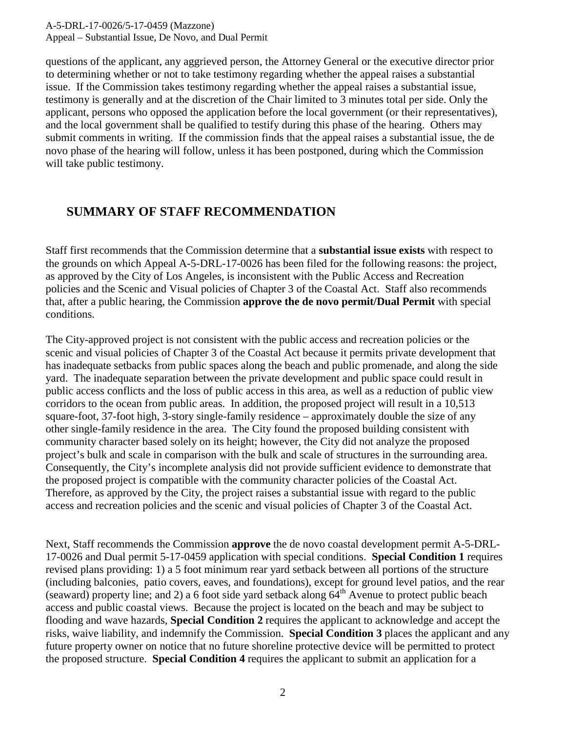A-5-DRL-17-0026/5-17-0459 (Mazzone) Appeal – Substantial Issue, De Novo, and Dual Permit

questions of the applicant, any aggrieved person, the Attorney General or the executive director prior to determining whether or not to take testimony regarding whether the appeal raises a substantial issue. If the Commission takes testimony regarding whether the appeal raises a substantial issue, testimony is generally and at the discretion of the Chair limited to 3 minutes total per side. Only the applicant, persons who opposed the application before the local government (or their representatives), and the local government shall be qualified to testify during this phase of the hearing. Others may submit comments in writing. If the commission finds that the appeal raises a substantial issue, the de novo phase of the hearing will follow, unless it has been postponed, during which the Commission will take public testimony.

## **SUMMARY OF STAFF RECOMMENDATION**

Staff first recommends that the Commission determine that a **substantial issue exists** with respect to the grounds on which Appeal A-5-DRL-17-0026 has been filed for the following reasons: the project, as approved by the City of Los Angeles, is inconsistent with the Public Access and Recreation policies and the Scenic and Visual policies of Chapter 3 of the Coastal Act. Staff also recommends that, after a public hearing, the Commission **approve the de novo permit/Dual Permit** with special conditions.

The City-approved project is not consistent with the public access and recreation policies or the scenic and visual policies of Chapter 3 of the Coastal Act because it permits private development that has inadequate setbacks from public spaces along the beach and public promenade, and along the side yard. The inadequate separation between the private development and public space could result in public access conflicts and the loss of public access in this area, as well as a reduction of public view corridors to the ocean from public areas. In addition, the proposed project will result in a 10,513 square-foot, 37-foot high, 3-story single-family residence – approximately double the size of any other single-family residence in the area. The City found the proposed building consistent with community character based solely on its height; however, the City did not analyze the proposed project's bulk and scale in comparison with the bulk and scale of structures in the surrounding area. Consequently, the City's incomplete analysis did not provide sufficient evidence to demonstrate that the proposed project is compatible with the community character policies of the Coastal Act. Therefore, as approved by the City, the project raises a substantial issue with regard to the public access and recreation policies and the scenic and visual policies of Chapter 3 of the Coastal Act.

Next, Staff recommends the Commission **approve** the de novo coastal development permit A-5-DRL-17-0026 and Dual permit 5-17-0459 application with special conditions. **Special Condition 1** requires revised plans providing: 1) a 5 foot minimum rear yard setback between all portions of the structure (including balconies, patio covers, eaves, and foundations), except for ground level patios, and the rear (seaward) property line; and 2) a 6 foot side yard setback along  $64<sup>th</sup>$  Avenue to protect public beach access and public coastal views. Because the project is located on the beach and may be subject to flooding and wave hazards, **Special Condition 2** requires the applicant to acknowledge and accept the risks, waive liability, and indemnify the Commission. **Special Condition 3** places the applicant and any future property owner on notice that no future shoreline protective device will be permitted to protect the proposed structure. **Special Condition 4** requires the applicant to submit an application for a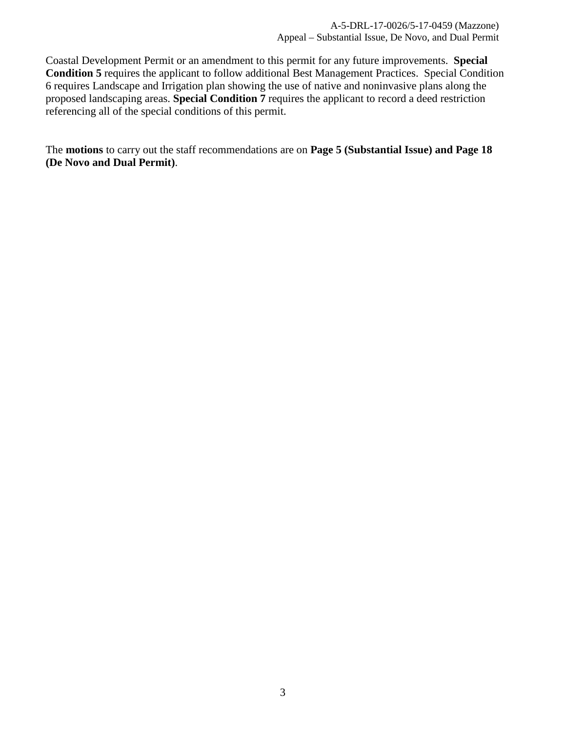Coastal Development Permit or an amendment to this permit for any future improvements. **Special Condition 5** requires the applicant to follow additional Best Management Practices. Special Condition 6 requires Landscape and Irrigation plan showing the use of native and noninvasive plans along the proposed landscaping areas. **Special Condition 7** requires the applicant to record a deed restriction referencing all of the special conditions of this permit.

The **motions** to carry out the staff recommendations are on **Page 5 (Substantial Issue) and Page 18 (De Novo and Dual Permit)**.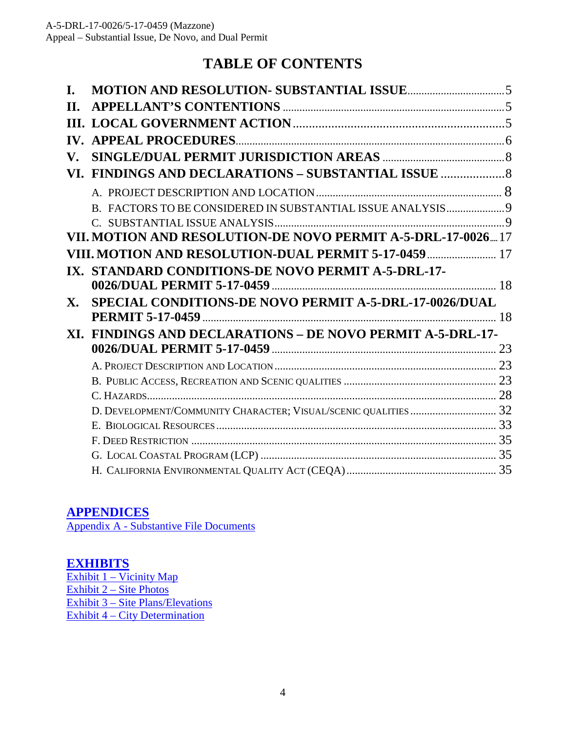# **TABLE OF CONTENTS**

| H.                       |                                                              |    |
|--------------------------|--------------------------------------------------------------|----|
|                          |                                                              |    |
| $\mathbf{IV}_{\text{-}}$ |                                                              |    |
| V.                       |                                                              |    |
| VI.                      |                                                              |    |
|                          |                                                              |    |
|                          |                                                              |    |
|                          |                                                              |    |
|                          | VII. MOTION AND RESOLUTION-DE NOVO PERMIT A-5-DRL-17-0026 17 |    |
|                          | <b>II. MOTION AND RESOLUTION-DUAL PERMIT 5-17-0459  17</b>   |    |
| $\mathbf{IX}_{\cdot}$    | STANDARD CONDITIONS-DE NOVO PERMIT A-5-DRL-17-               |    |
|                          |                                                              |    |
| X.                       | SPECIAL CONDITIONS-DE NOVO PERMIT A-5-DRL-17-0026/DUAL       |    |
|                          |                                                              | 18 |
|                          | XI. FINDINGS AND DECLARATIONS - DE NOVO PERMIT A-5-DRL-17-   |    |
|                          |                                                              |    |
|                          |                                                              |    |
|                          |                                                              |    |
|                          |                                                              |    |
|                          |                                                              |    |
|                          |                                                              |    |
|                          |                                                              |    |
|                          |                                                              |    |
|                          |                                                              |    |

## **[APPENDICES](#page-35-0)**

[Appendix A - Substantive File Documents](#page-35-0)

## **[EXHIBITS](https://documents.coastal.ca.gov/reports/2017/12/th10b/th10b-12-2017-exhibits.pdf)**

[Exhibit 1 – Vicinity Map](https://documents.coastal.ca.gov/reports/2017/12/th10b/th10b-12-2017-exhibits.pdf) [Exhibit 2 – Site Photos](https://documents.coastal.ca.gov/reports/2017/12/th10b/th10b-12-2017-exhibits.pdf) [Exhibit 3 – Site Plans/Elevations](https://documents.coastal.ca.gov/reports/2017/12/th10b/th10b-12-2017-exhibits.pdf) [Exhibit 4 – City Determination](https://documents.coastal.ca.gov/reports/2017/12/th10b/th10b-12-2017-exhibits.pdf)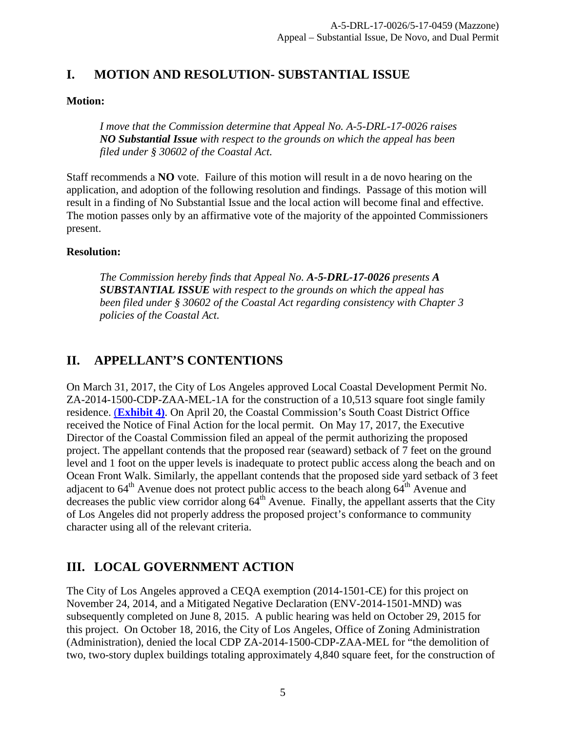## <span id="page-4-0"></span>**I. MOTION AND RESOLUTION- SUBSTANTIAL ISSUE**

#### **Motion:**

*I move that the Commission determine that Appeal No. A-5-DRL-17-0026 raises NO Substantial Issue with respect to the grounds on which the appeal has been filed under § 30602 of the Coastal Act.*

Staff recommends a **NO** vote. Failure of this motion will result in a de novo hearing on the application, and adoption of the following resolution and findings. Passage of this motion will result in a finding of No Substantial Issue and the local action will become final and effective. The motion passes only by an affirmative vote of the majority of the appointed Commissioners present.

#### **Resolution:**

*The Commission hereby finds that Appeal No. A-5-DRL-17-0026 presents A SUBSTANTIAL ISSUE with respect to the grounds on which the appeal has been filed under § 30602 of the Coastal Act regarding consistency with Chapter 3 policies of the Coastal Act.*

## <span id="page-4-1"></span>**II. APPELLANT'S CONTENTIONS**

On March 31, 2017, the City of Los Angeles approved Local Coastal Development Permit No. ZA-2014-1500-CDP-ZAA-MEL-1A for the construction of a 10,513 square foot single family residence. (**[Exhibit 4\)](https://documents.coastal.ca.gov/reports/2017/12/th10b/th10b-12-2017-exhibits.pdf)**. On April 20, the Coastal Commission's South Coast District Office received the Notice of Final Action for the local permit. On May 17, 2017, the Executive Director of the Coastal Commission filed an appeal of the permit authorizing the proposed project. The appellant contends that the proposed rear (seaward) setback of 7 feet on the ground level and 1 foot on the upper levels is inadequate to protect public access along the beach and on Ocean Front Walk. Similarly, the appellant contends that the proposed side yard setback of 3 feet adjacent to  $64<sup>th</sup>$  Avenue does not protect public access to the beach along  $64<sup>th</sup>$  Avenue and decreases the public view corridor along  $64<sup>th</sup>$  Avenue. Finally, the appellant asserts that the City of Los Angeles did not properly address the proposed project's conformance to community character using all of the relevant criteria.

## <span id="page-4-2"></span>**III. LOCAL GOVERNMENT ACTION**

The City of Los Angeles approved a CEQA exemption (2014-1501-CE) for this project on November 24, 2014, and a Mitigated Negative Declaration (ENV-2014-1501-MND) was subsequently completed on June 8, 2015. A public hearing was held on October 29, 2015 for this project. On October 18, 2016, the City of Los Angeles, Office of Zoning Administration (Administration), denied the local CDP ZA-2014-1500-CDP-ZAA-MEL for "the demolition of two, two-story duplex buildings totaling approximately 4,840 square feet, for the construction of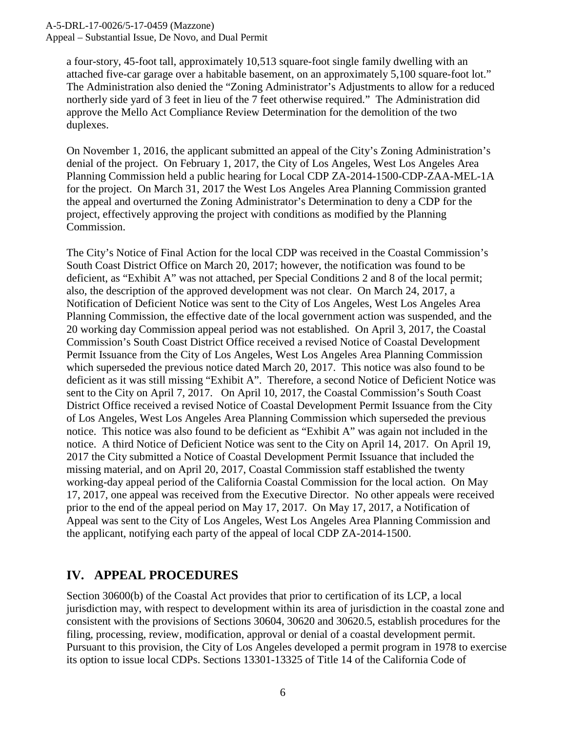Appeal – Substantial Issue, De Novo, and Dual Permit

a four-story, 45-foot tall, approximately 10,513 square-foot single family dwelling with an attached five-car garage over a habitable basement, on an approximately 5,100 square-foot lot." The Administration also denied the "Zoning Administrator's Adjustments to allow for a reduced northerly side yard of 3 feet in lieu of the 7 feet otherwise required." The Administration did approve the Mello Act Compliance Review Determination for the demolition of the two duplexes.

On November 1, 2016, the applicant submitted an appeal of the City's Zoning Administration's denial of the project. On February 1, 2017, the City of Los Angeles, West Los Angeles Area Planning Commission held a public hearing for Local CDP ZA-2014-1500-CDP-ZAA-MEL-1A for the project. On March 31, 2017 the West Los Angeles Area Planning Commission granted the appeal and overturned the Zoning Administrator's Determination to deny a CDP for the project, effectively approving the project with conditions as modified by the Planning Commission.

The City's Notice of Final Action for the local CDP was received in the Coastal Commission's South Coast District Office on March 20, 2017; however, the notification was found to be deficient, as "Exhibit A" was not attached, per Special Conditions 2 and 8 of the local permit; also, the description of the approved development was not clear. On March 24, 2017, a Notification of Deficient Notice was sent to the City of Los Angeles, West Los Angeles Area Planning Commission, the effective date of the local government action was suspended, and the 20 working day Commission appeal period was not established. On April 3, 2017, the Coastal Commission's South Coast District Office received a revised Notice of Coastal Development Permit Issuance from the City of Los Angeles, West Los Angeles Area Planning Commission which superseded the previous notice dated March 20, 2017. This notice was also found to be deficient as it was still missing "Exhibit A". Therefore, a second Notice of Deficient Notice was sent to the City on April 7, 2017. On April 10, 2017, the Coastal Commission's South Coast District Office received a revised Notice of Coastal Development Permit Issuance from the City of Los Angeles, West Los Angeles Area Planning Commission which superseded the previous notice. This notice was also found to be deficient as "Exhibit A" was again not included in the notice. A third Notice of Deficient Notice was sent to the City on April 14, 2017. On April 19, 2017 the City submitted a Notice of Coastal Development Permit Issuance that included the missing material, and on April 20, 2017, Coastal Commission staff established the twenty working-day appeal period of the California Coastal Commission for the local action. On May 17, 2017, one appeal was received from the Executive Director. No other appeals were received prior to the end of the appeal period on May 17, 2017. On May 17, 2017, a Notification of Appeal was sent to the City of Los Angeles, West Los Angeles Area Planning Commission and the applicant, notifying each party of the appeal of local CDP ZA-2014-1500.

## <span id="page-5-0"></span>**IV. APPEAL PROCEDURES**

Section 30600(b) of the Coastal Act provides that prior to certification of its LCP, a local jurisdiction may, with respect to development within its area of jurisdiction in the coastal zone and consistent with the provisions of Sections 30604, 30620 and 30620.5, establish procedures for the filing, processing, review, modification, approval or denial of a coastal development permit. Pursuant to this provision, the City of Los Angeles developed a permit program in 1978 to exercise its option to issue local CDPs. Sections 13301-13325 of Title 14 of the California Code of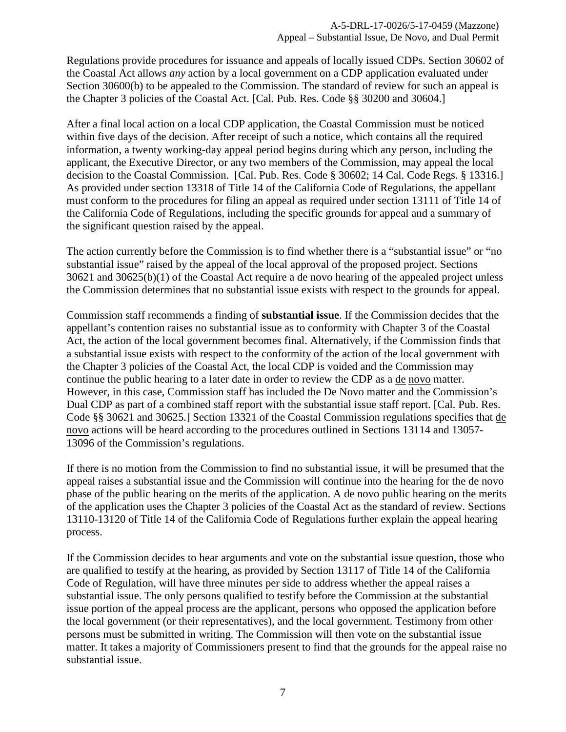Regulations provide procedures for issuance and appeals of locally issued CDPs. Section 30602 of the Coastal Act allows *any* action by a local government on a CDP application evaluated under Section 30600(b) to be appealed to the Commission. The standard of review for such an appeal is the Chapter 3 policies of the Coastal Act. [Cal. Pub. Res. Code §§ 30200 and 30604.]

After a final local action on a local CDP application, the Coastal Commission must be noticed within five days of the decision. After receipt of such a notice, which contains all the required information, a twenty working-day appeal period begins during which any person, including the applicant, the Executive Director, or any two members of the Commission, may appeal the local decision to the Coastal Commission. [Cal. Pub. Res. Code § 30602; 14 Cal. Code Regs. § 13316.] As provided under section 13318 of Title 14 of the California Code of Regulations, the appellant must conform to the procedures for filing an appeal as required under section 13111 of Title 14 of the California Code of Regulations, including the specific grounds for appeal and a summary of the significant question raised by the appeal.

The action currently before the Commission is to find whether there is a "substantial issue" or "no substantial issue" raised by the appeal of the local approval of the proposed project. Sections 30621 and 30625(b)(1) of the Coastal Act require a de novo hearing of the appealed project unless the Commission determines that no substantial issue exists with respect to the grounds for appeal.

Commission staff recommends a finding of **substantial issue**. If the Commission decides that the appellant's contention raises no substantial issue as to conformity with Chapter 3 of the Coastal Act, the action of the local government becomes final. Alternatively, if the Commission finds that a substantial issue exists with respect to the conformity of the action of the local government with the Chapter 3 policies of the Coastal Act, the local CDP is voided and the Commission may continue the public hearing to a later date in order to review the CDP as a de novo matter. However, in this case, Commission staff has included the De Novo matter and the Commission's Dual CDP as part of a combined staff report with the substantial issue staff report. [Cal. Pub. Res. Code §§ 30621 and 30625.] Section 13321 of the Coastal Commission regulations specifies that de novo actions will be heard according to the procedures outlined in Sections 13114 and 13057- 13096 of the Commission's regulations.

If there is no motion from the Commission to find no substantial issue, it will be presumed that the appeal raises a substantial issue and the Commission will continue into the hearing for the de novo phase of the public hearing on the merits of the application. A de novo public hearing on the merits of the application uses the Chapter 3 policies of the Coastal Act as the standard of review. Sections 13110-13120 of Title 14 of the California Code of Regulations further explain the appeal hearing process.

If the Commission decides to hear arguments and vote on the substantial issue question, those who are qualified to testify at the hearing, as provided by Section 13117 of Title 14 of the California Code of Regulation, will have three minutes per side to address whether the appeal raises a substantial issue. The only persons qualified to testify before the Commission at the substantial issue portion of the appeal process are the applicant, persons who opposed the application before the local government (or their representatives), and the local government. Testimony from other persons must be submitted in writing. The Commission will then vote on the substantial issue matter. It takes a majority of Commissioners present to find that the grounds for the appeal raise no substantial issue.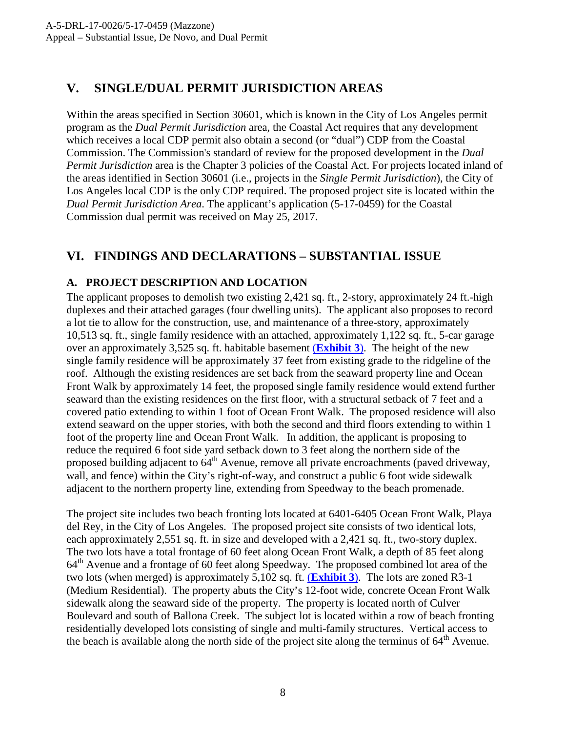## <span id="page-7-0"></span>**V. SINGLE/DUAL PERMIT JURISDICTION AREAS**

Within the areas specified in Section 30601, which is known in the City of Los Angeles permit program as the *Dual Permit Jurisdiction* area, the Coastal Act requires that any development which receives a local CDP permit also obtain a second (or "dual") CDP from the Coastal Commission. The Commission's standard of review for the proposed development in the *Dual Permit Jurisdiction* area is the Chapter 3 policies of the Coastal Act. For projects located inland of the areas identified in Section 30601 (i.e., projects in the *Single Permit Jurisdiction*), the City of Los Angeles local CDP is the only CDP required. The proposed project site is located within the *Dual Permit Jurisdiction Area*. The applicant's application (5-17-0459) for the Coastal Commission dual permit was received on May 25, 2017.

## <span id="page-7-1"></span>**VI. FINDINGS AND DECLARATIONS – SUBSTANTIAL ISSUE**

### **A. PROJECT DESCRIPTION AND LOCATION**

The applicant proposes to demolish two existing 2,421 sq. ft., 2-story, approximately 24 ft.-high duplexes and their attached garages (four dwelling units). The applicant also proposes to record a lot tie to allow for the construction, use, and maintenance of a three-story, approximately 10,513 sq. ft., single family residence with an attached, approximately 1,122 sq. ft., 5-car garage over an approximately 3,525 sq. ft. habitable basement (**[Exhibit 3](https://documents.coastal.ca.gov/reports/2017/12/th10b/th10b-12-2017-exhibits.pdf)**). The height of the new single family residence will be approximately 37 feet from existing grade to the ridgeline of the roof. Although the existing residences are set back from the seaward property line and Ocean Front Walk by approximately 14 feet, the proposed single family residence would extend further seaward than the existing residences on the first floor, with a structural setback of 7 feet and a covered patio extending to within 1 foot of Ocean Front Walk. The proposed residence will also extend seaward on the upper stories, with both the second and third floors extending to within 1 foot of the property line and Ocean Front Walk. In addition, the applicant is proposing to reduce the required 6 foot side yard setback down to 3 feet along the northern side of the proposed building adjacent to 64<sup>th</sup> Avenue, remove all private encroachments (paved driveway, wall, and fence) within the City's right-of-way, and construct a public 6 foot wide sidewalk adjacent to the northern property line, extending from Speedway to the beach promenade.

The project site includes two beach fronting lots located at 6401-6405 Ocean Front Walk, Playa del Rey, in the City of Los Angeles. The proposed project site consists of two identical lots, each approximately 2,551 sq. ft. in size and developed with a 2,421 sq. ft., two-story duplex. The two lots have a total frontage of 60 feet along Ocean Front Walk, a depth of 85 feet along  $64<sup>th</sup>$  Avenue and a frontage of 60 feet along Speedway. The proposed combined lot area of the two lots (when merged) is approximately 5,102 sq. ft. (**[Exhibit 3](https://documents.coastal.ca.gov/reports/2017/12/th10b/th10b-12-2017-exhibits.pdf)**). The lots are zoned R3-1 (Medium Residential). The property abuts the City's 12-foot wide, concrete Ocean Front Walk sidewalk along the seaward side of the property. The property is located north of Culver Boulevard and south of Ballona Creek. The subject lot is located within a row of beach fronting residentially developed lots consisting of single and multi-family structures. Vertical access to the beach is available along the north side of the project site along the terminus of  $64<sup>th</sup>$  Avenue.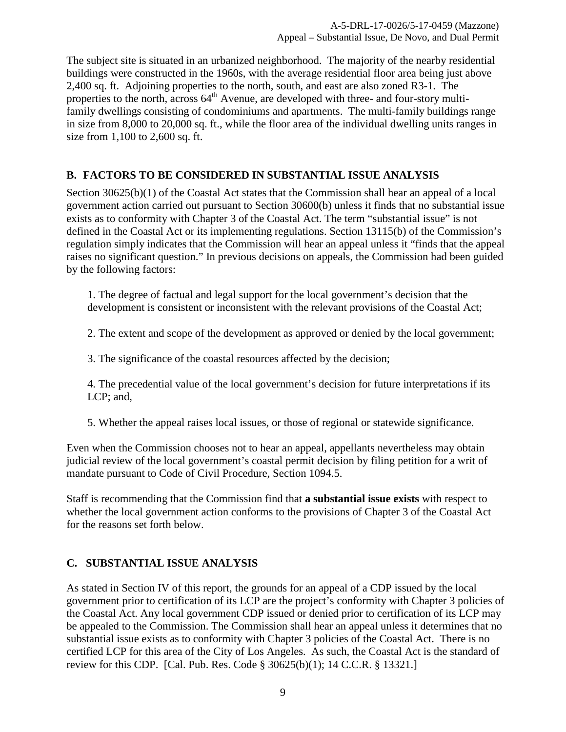The subject site is situated in an urbanized neighborhood. The majority of the nearby residential buildings were constructed in the 1960s, with the average residential floor area being just above 2,400 sq. ft. Adjoining properties to the north, south, and east are also zoned R3-1. The properties to the north, across  $64<sup>th</sup>$  Avenue, are developed with three- and four-story multifamily dwellings consisting of condominiums and apartments. The multi-family buildings range in size from 8,000 to 20,000 sq. ft., while the floor area of the individual dwelling units ranges in size from 1,100 to 2,600 sq. ft.

#### <span id="page-8-0"></span>**B. FACTORS TO BE CONSIDERED IN SUBSTANTIAL ISSUE ANALYSIS**

Section 30625(b)(1) of the Coastal Act states that the Commission shall hear an appeal of a local government action carried out pursuant to Section 30600(b) unless it finds that no substantial issue exists as to conformity with Chapter 3 of the Coastal Act. The term "substantial issue" is not defined in the Coastal Act or its implementing regulations. Section 13115(b) of the Commission's regulation simply indicates that the Commission will hear an appeal unless it "finds that the appeal raises no significant question." In previous decisions on appeals, the Commission had been guided by the following factors:

1. The degree of factual and legal support for the local government's decision that the development is consistent or inconsistent with the relevant provisions of the Coastal Act;

2. The extent and scope of the development as approved or denied by the local government;

3. The significance of the coastal resources affected by the decision;

4. The precedential value of the local government's decision for future interpretations if its LCP; and,

5. Whether the appeal raises local issues, or those of regional or statewide significance.

Even when the Commission chooses not to hear an appeal, appellants nevertheless may obtain judicial review of the local government's coastal permit decision by filing petition for a writ of mandate pursuant to Code of Civil Procedure, Section 1094.5.

Staff is recommending that the Commission find that **a substantial issue exists** with respect to whether the local government action conforms to the provisions of Chapter 3 of the Coastal Act for the reasons set forth below.

#### <span id="page-8-1"></span>**C. SUBSTANTIAL ISSUE ANALYSIS**

As stated in Section IV of this report, the grounds for an appeal of a CDP issued by the local government prior to certification of its LCP are the project's conformity with Chapter 3 policies of the Coastal Act. Any local government CDP issued or denied prior to certification of its LCP may be appealed to the Commission. The Commission shall hear an appeal unless it determines that no substantial issue exists as to conformity with Chapter 3 policies of the Coastal Act. There is no certified LCP for this area of the City of Los Angeles. As such, the Coastal Act is the standard of review for this CDP. [Cal. Pub. Res. Code § 30625(b)(1); 14 C.C.R. § 13321.]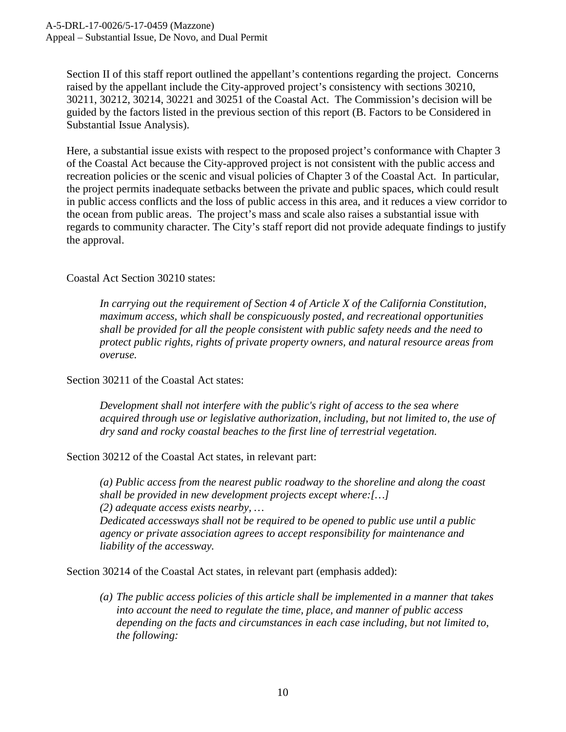Section II of this staff report outlined the appellant's contentions regarding the project. Concerns raised by the appellant include the City-approved project's consistency with sections 30210, 30211, 30212, 30214, 30221 and 30251 of the Coastal Act. The Commission's decision will be guided by the factors listed in the previous section of this report (B. Factors to be Considered in Substantial Issue Analysis).

Here, a substantial issue exists with respect to the proposed project's conformance with Chapter 3 of the Coastal Act because the City-approved project is not consistent with the public access and recreation policies or the scenic and visual policies of Chapter 3 of the Coastal Act. In particular, the project permits inadequate setbacks between the private and public spaces, which could result in public access conflicts and the loss of public access in this area, and it reduces a view corridor to the ocean from public areas. The project's mass and scale also raises a substantial issue with regards to community character. The City's staff report did not provide adequate findings to justify the approval.

Coastal Act Section 30210 states:

*In carrying out the requirement of Section 4 of Article X of the California Constitution, maximum access, which shall be conspicuously posted, and recreational opportunities shall be provided for all the people consistent with public safety needs and the need to protect public rights, rights of private property owners, and natural resource areas from overuse.*

Section 30211 of the Coastal Act states:

*Development shall not interfere with the public's right of access to the sea where acquired through use or legislative authorization, including, but not limited to, the use of dry sand and rocky coastal beaches to the first line of terrestrial vegetation.*

Section 30212 of the Coastal Act states, in relevant part:

*(a) Public access from the nearest public roadway to the shoreline and along the coast shall be provided in new development projects except where:[…] (2) adequate access exists nearby, …*

*Dedicated accessways shall not be required to be opened to public use until a public agency or private association agrees to accept responsibility for maintenance and liability of the accessway.*

Section 30214 of the Coastal Act states, in relevant part (emphasis added):

*(a) The public access policies of this article shall be implemented in a manner that takes into account the need to regulate the time, place, and manner of public access depending on the facts and circumstances in each case including, but not limited to, the following:*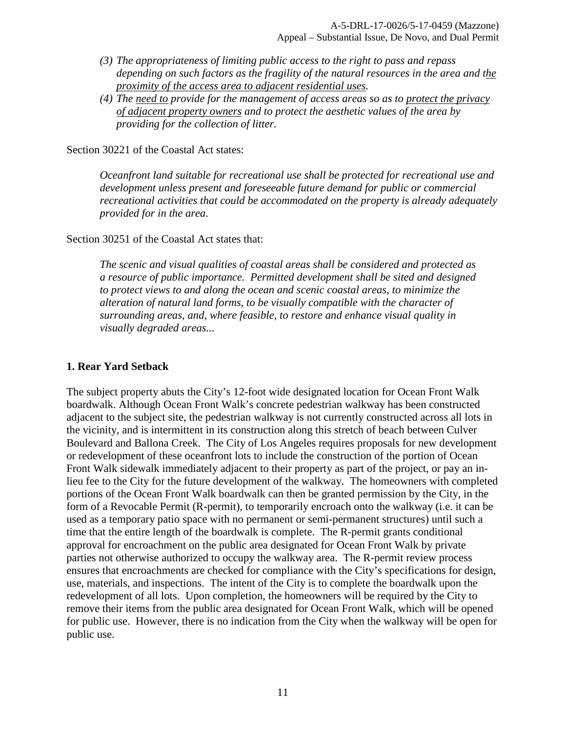- *(3) The appropriateness of limiting public access to the right to pass and repass depending on such factors as the fragility of the natural resources in the area and the proximity of the access area to adjacent residential uses.*
- *(4) The need to provide for the management of access areas so as to protect the privacy of adjacent property owners and to protect the aesthetic values of the area by providing for the collection of litter.*

Section 30221 of the Coastal Act states:

*Oceanfront land suitable for recreational use shall be protected for recreational use and development unless present and foreseeable future demand for public or commercial recreational activities that could be accommodated on the property is already adequately provided for in the area.* 

Section 30251 of the Coastal Act states that:

*The scenic and visual qualities of coastal areas shall be considered and protected as a resource of public importance. Permitted development shall be sited and designed to protect views to and along the ocean and scenic coastal areas, to minimize the alteration of natural land forms, to be visually compatible with the character of surrounding areas, and, where feasible, to restore and enhance visual quality in visually degraded areas...* 

#### **1. Rear Yard Setback**

The subject property abuts the City's 12-foot wide designated location for Ocean Front Walk boardwalk. Although Ocean Front Walk's concrete pedestrian walkway has been constructed adjacent to the subject site, the pedestrian walkway is not currently constructed across all lots in the vicinity, and is intermittent in its construction along this stretch of beach between Culver Boulevard and Ballona Creek. The City of Los Angeles requires proposals for new development or redevelopment of these oceanfront lots to include the construction of the portion of Ocean Front Walk sidewalk immediately adjacent to their property as part of the project, or pay an inlieu fee to the City for the future development of the walkway. The homeowners with completed portions of the Ocean Front Walk boardwalk can then be granted permission by the City, in the form of a Revocable Permit (R-permit), to temporarily encroach onto the walkway (i.e. it can be used as a temporary patio space with no permanent or semi-permanent structures) until such a time that the entire length of the boardwalk is complete. The R-permit grants conditional approval for encroachment on the public area designated for Ocean Front Walk by private parties not otherwise authorized to occupy the walkway area. The R-permit review process ensures that encroachments are checked for compliance with the City's specifications for design, use, materials, and inspections. The intent of the City is to complete the boardwalk upon the redevelopment of all lots. Upon completion, the homeowners will be required by the City to remove their items from the public area designated for Ocean Front Walk, which will be opened for public use. However, there is no indication from the City when the walkway will be open for public use.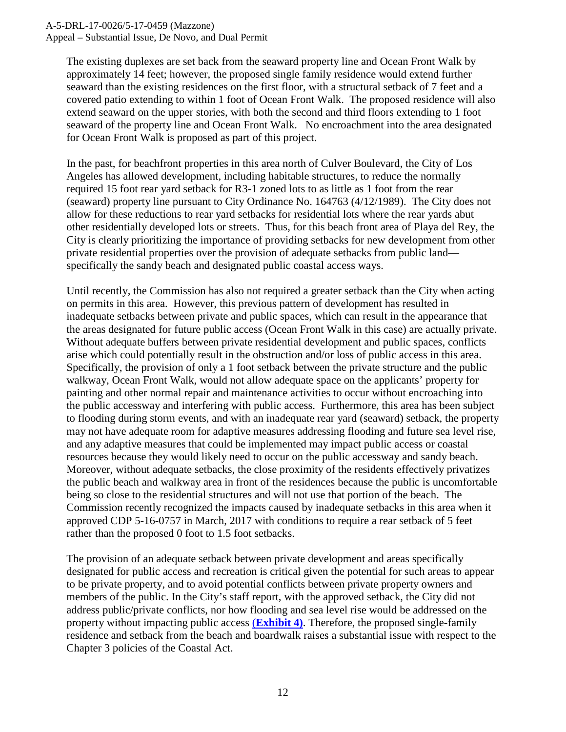A-5-DRL-17-0026/5-17-0459 (Mazzone)

Appeal – Substantial Issue, De Novo, and Dual Permit

The existing duplexes are set back from the seaward property line and Ocean Front Walk by approximately 14 feet; however, the proposed single family residence would extend further seaward than the existing residences on the first floor, with a structural setback of 7 feet and a covered patio extending to within 1 foot of Ocean Front Walk. The proposed residence will also extend seaward on the upper stories, with both the second and third floors extending to 1 foot seaward of the property line and Ocean Front Walk. No encroachment into the area designated for Ocean Front Walk is proposed as part of this project.

In the past, for beachfront properties in this area north of Culver Boulevard, the City of Los Angeles has allowed development, including habitable structures, to reduce the normally required 15 foot rear yard setback for R3-1 zoned lots to as little as 1 foot from the rear (seaward) property line pursuant to City Ordinance No. 164763 (4/12/1989). The City does not allow for these reductions to rear yard setbacks for residential lots where the rear yards abut other residentially developed lots or streets. Thus, for this beach front area of Playa del Rey, the City is clearly prioritizing the importance of providing setbacks for new development from other private residential properties over the provision of adequate setbacks from public land specifically the sandy beach and designated public coastal access ways.

Until recently, the Commission has also not required a greater setback than the City when acting on permits in this area. However, this previous pattern of development has resulted in inadequate setbacks between private and public spaces, which can result in the appearance that the areas designated for future public access (Ocean Front Walk in this case) are actually private. Without adequate buffers between private residential development and public spaces, conflicts arise which could potentially result in the obstruction and/or loss of public access in this area. Specifically, the provision of only a 1 foot setback between the private structure and the public walkway, Ocean Front Walk, would not allow adequate space on the applicants' property for painting and other normal repair and maintenance activities to occur without encroaching into the public accessway and interfering with public access. Furthermore, this area has been subject to flooding during storm events, and with an inadequate rear yard (seaward) setback, the property may not have adequate room for adaptive measures addressing flooding and future sea level rise, and any adaptive measures that could be implemented may impact public access or coastal resources because they would likely need to occur on the public accessway and sandy beach. Moreover, without adequate setbacks, the close proximity of the residents effectively privatizes the public beach and walkway area in front of the residences because the public is uncomfortable being so close to the residential structures and will not use that portion of the beach. The Commission recently recognized the impacts caused by inadequate setbacks in this area when it approved CDP 5-16-0757 in March, 2017 with conditions to require a rear setback of 5 feet rather than the proposed 0 foot to 1.5 foot setbacks.

The provision of an adequate setback between private development and areas specifically designated for public access and recreation is critical given the potential for such areas to appear to be private property, and to avoid potential conflicts between private property owners and members of the public. In the City's staff report, with the approved setback, the City did not address public/private conflicts, nor how flooding and sea level rise would be addressed on the property without impacting public access (**[Exhibit 4\)](https://documents.coastal.ca.gov/reports/2017/12/th10b/th10b-12-2017-exhibits.pdf)**. Therefore, the proposed single-family residence and setback from the beach and boardwalk raises a substantial issue with respect to the Chapter 3 policies of the Coastal Act.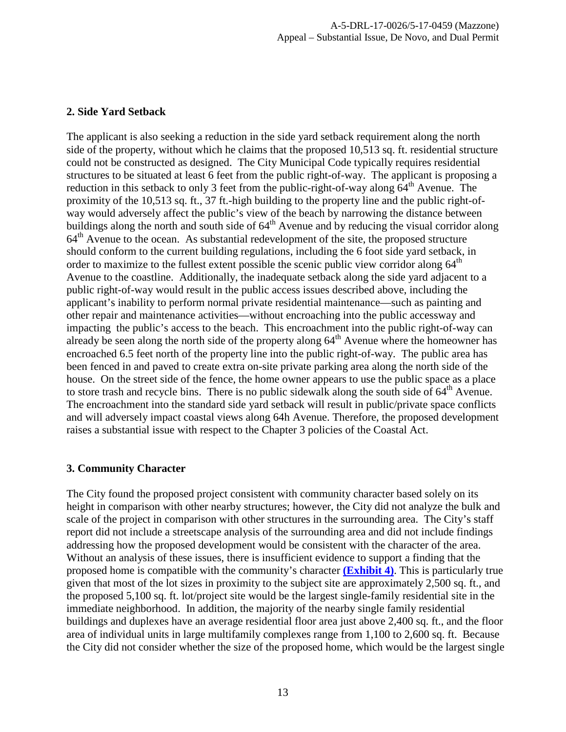#### **2. Side Yard Setback**

The applicant is also seeking a reduction in the side yard setback requirement along the north side of the property, without which he claims that the proposed 10,513 sq. ft. residential structure could not be constructed as designed. The City Municipal Code typically requires residential structures to be situated at least 6 feet from the public right-of-way. The applicant is proposing a reduction in this setback to only 3 feet from the public-right-of-way along  $64<sup>th</sup>$  Avenue. The proximity of the 10,513 sq. ft., 37 ft.-high building to the property line and the public right-ofway would adversely affect the public's view of the beach by narrowing the distance between buildings along the north and south side of  $64<sup>th</sup>$  Avenue and by reducing the visual corridor along  $64<sup>th</sup>$  Avenue to the ocean. As substantial redevelopment of the site, the proposed structure should conform to the current building regulations, including the 6 foot side yard setback, in order to maximize to the fullest extent possible the scenic public view corridor along 64<sup>th</sup> Avenue to the coastline. Additionally, the inadequate setback along the side yard adjacent to a public right-of-way would result in the public access issues described above, including the applicant's inability to perform normal private residential maintenance—such as painting and other repair and maintenance activities—without encroaching into the public accessway and impacting the public's access to the beach. This encroachment into the public right-of-way can already be seen along the north side of the property along  $64<sup>th</sup>$  Avenue where the homeowner has encroached 6.5 feet north of the property line into the public right-of-way. The public area has been fenced in and paved to create extra on-site private parking area along the north side of the house. On the street side of the fence, the home owner appears to use the public space as a place to store trash and recycle bins. There is no public sidewalk along the south side of  $64<sup>th</sup>$  Avenue. The encroachment into the standard side yard setback will result in public/private space conflicts and will adversely impact coastal views along 64h Avenue. Therefore, the proposed development raises a substantial issue with respect to the Chapter 3 policies of the Coastal Act.

#### **3. Community Character**

The City found the proposed project consistent with community character based solely on its height in comparison with other nearby structures; however, the City did not analyze the bulk and scale of the project in comparison with other structures in the surrounding area. The City's staff report did not include a streetscape analysis of the surrounding area and did not include findings addressing how the proposed development would be consistent with the character of the area. Without an analysis of these issues, there is insufficient evidence to support a finding that the proposed home is compatible with the community's character **[\(Exhibit 4\)](https://documents.coastal.ca.gov/reports/2017/12/th10b/th10b-12-2017-exhibits.pdf)**. This is particularly true given that most of the lot sizes in proximity to the subject site are approximately 2,500 sq. ft., and the proposed 5,100 sq. ft. lot/project site would be the largest single-family residential site in the immediate neighborhood. In addition, the majority of the nearby single family residential buildings and duplexes have an average residential floor area just above 2,400 sq. ft., and the floor area of individual units in large multifamily complexes range from 1,100 to 2,600 sq. ft. Because the City did not consider whether the size of the proposed home, which would be the largest single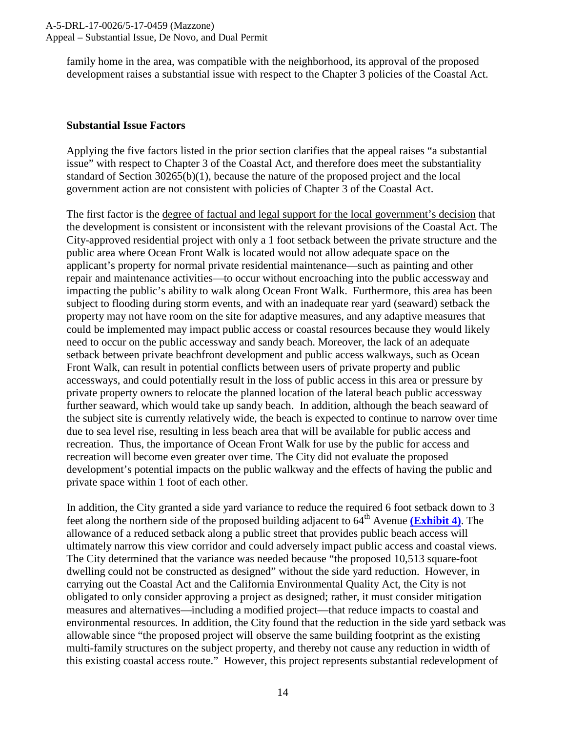family home in the area, was compatible with the neighborhood, its approval of the proposed development raises a substantial issue with respect to the Chapter 3 policies of the Coastal Act.

#### **Substantial Issue Factors**

Applying the five factors listed in the prior section clarifies that the appeal raises "a substantial issue" with respect to Chapter 3 of the Coastal Act, and therefore does meet the substantiality standard of Section 30265(b)(1), because the nature of the proposed project and the local government action are not consistent with policies of Chapter 3 of the Coastal Act.

The first factor is the degree of factual and legal support for the local government's decision that the development is consistent or inconsistent with the relevant provisions of the Coastal Act. The City-approved residential project with only a 1 foot setback between the private structure and the public area where Ocean Front Walk is located would not allow adequate space on the applicant's property for normal private residential maintenance—such as painting and other repair and maintenance activities—to occur without encroaching into the public accessway and impacting the public's ability to walk along Ocean Front Walk. Furthermore, this area has been subject to flooding during storm events, and with an inadequate rear yard (seaward) setback the property may not have room on the site for adaptive measures, and any adaptive measures that could be implemented may impact public access or coastal resources because they would likely need to occur on the public accessway and sandy beach. Moreover, the lack of an adequate setback between private beachfront development and public access walkways, such as Ocean Front Walk, can result in potential conflicts between users of private property and public accessways, and could potentially result in the loss of public access in this area or pressure by private property owners to relocate the planned location of the lateral beach public accessway further seaward, which would take up sandy beach. In addition, although the beach seaward of the subject site is currently relatively wide, the beach is expected to continue to narrow over time due to sea level rise, resulting in less beach area that will be available for public access and recreation. Thus, the importance of Ocean Front Walk for use by the public for access and recreation will become even greater over time. The City did not evaluate the proposed development's potential impacts on the public walkway and the effects of having the public and private space within 1 foot of each other.

In addition, the City granted a side yard variance to reduce the required 6 foot setback down to 3 feet along the northern side of the proposed building adjacent to  $64<sup>th</sup>$  Avenue (**Exhibit 4**). The allowance of a reduced setback along a public street that provides public beach access will ultimately narrow this view corridor and could adversely impact public access and coastal views. The City determined that the variance was needed because "the proposed 10,513 square-foot dwelling could not be constructed as designed" without the side yard reduction. However, in carrying out the Coastal Act and the California Environmental Quality Act, the City is not obligated to only consider approving a project as designed; rather, it must consider mitigation measures and alternatives—including a modified project—that reduce impacts to coastal and environmental resources. In addition, the City found that the reduction in the side yard setback was allowable since "the proposed project will observe the same building footprint as the existing multi-family structures on the subject property, and thereby not cause any reduction in width of this existing coastal access route." However, this project represents substantial redevelopment of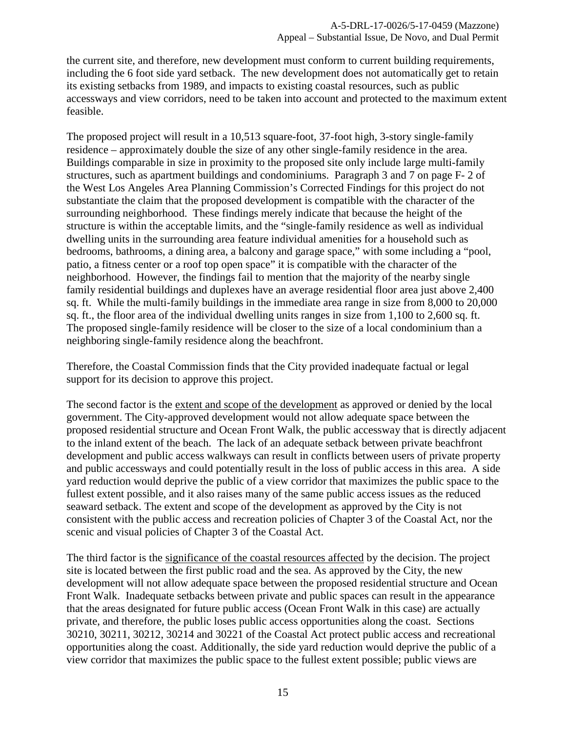the current site, and therefore, new development must conform to current building requirements, including the 6 foot side yard setback. The new development does not automatically get to retain its existing setbacks from 1989, and impacts to existing coastal resources, such as public accessways and view corridors, need to be taken into account and protected to the maximum extent feasible.

The proposed project will result in a 10,513 square-foot, 37-foot high, 3-story single-family residence – approximately double the size of any other single-family residence in the area. Buildings comparable in size in proximity to the proposed site only include large multi-family structures, such as apartment buildings and condominiums. Paragraph 3 and 7 on page F- 2 of the West Los Angeles Area Planning Commission's Corrected Findings for this project do not substantiate the claim that the proposed development is compatible with the character of the surrounding neighborhood. These findings merely indicate that because the height of the structure is within the acceptable limits, and the "single-family residence as well as individual dwelling units in the surrounding area feature individual amenities for a household such as bedrooms, bathrooms, a dining area, a balcony and garage space," with some including a "pool, patio, a fitness center or a roof top open space" it is compatible with the character of the neighborhood. However, the findings fail to mention that the majority of the nearby single family residential buildings and duplexes have an average residential floor area just above 2,400 sq. ft. While the multi-family buildings in the immediate area range in size from 8,000 to 20,000 sq. ft., the floor area of the individual dwelling units ranges in size from 1,100 to 2,600 sq. ft. The proposed single-family residence will be closer to the size of a local condominium than a neighboring single-family residence along the beachfront.

Therefore, the Coastal Commission finds that the City provided inadequate factual or legal support for its decision to approve this project.

The second factor is the extent and scope of the development as approved or denied by the local government. The City-approved development would not allow adequate space between the proposed residential structure and Ocean Front Walk, the public accessway that is directly adjacent to the inland extent of the beach. The lack of an adequate setback between private beachfront development and public access walkways can result in conflicts between users of private property and public accessways and could potentially result in the loss of public access in this area. A side yard reduction would deprive the public of a view corridor that maximizes the public space to the fullest extent possible, and it also raises many of the same public access issues as the reduced seaward setback. The extent and scope of the development as approved by the City is not consistent with the public access and recreation policies of Chapter 3 of the Coastal Act, nor the scenic and visual policies of Chapter 3 of the Coastal Act.

The third factor is the significance of the coastal resources affected by the decision. The project site is located between the first public road and the sea. As approved by the City, the new development will not allow adequate space between the proposed residential structure and Ocean Front Walk. Inadequate setbacks between private and public spaces can result in the appearance that the areas designated for future public access (Ocean Front Walk in this case) are actually private, and therefore, the public loses public access opportunities along the coast. Sections 30210, 30211, 30212, 30214 and 30221 of the Coastal Act protect public access and recreational opportunities along the coast. Additionally, the side yard reduction would deprive the public of a view corridor that maximizes the public space to the fullest extent possible; public views are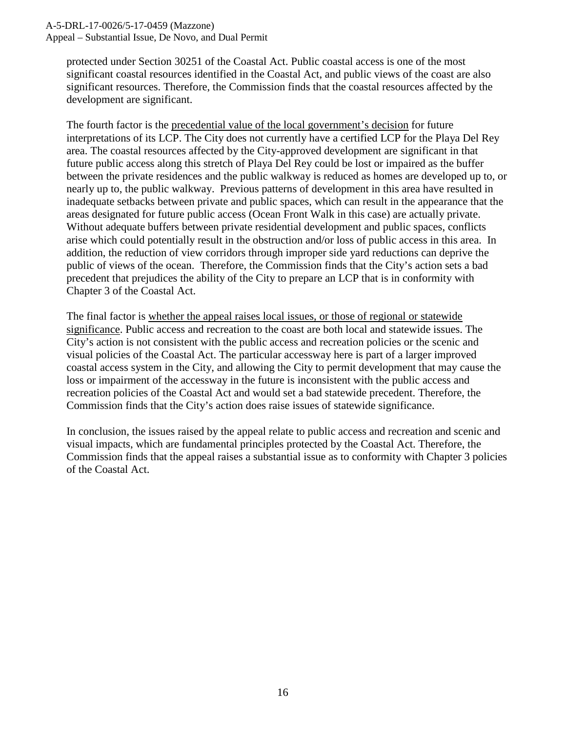#### A-5-DRL-17-0026/5-17-0459 (Mazzone)

Appeal – Substantial Issue, De Novo, and Dual Permit

protected under Section 30251 of the Coastal Act. Public coastal access is one of the most significant coastal resources identified in the Coastal Act, and public views of the coast are also significant resources. Therefore, the Commission finds that the coastal resources affected by the development are significant.

The fourth factor is the precedential value of the local government's decision for future interpretations of its LCP. The City does not currently have a certified LCP for the Playa Del Rey area. The coastal resources affected by the City-approved development are significant in that future public access along this stretch of Playa Del Rey could be lost or impaired as the buffer between the private residences and the public walkway is reduced as homes are developed up to, or nearly up to, the public walkway. Previous patterns of development in this area have resulted in inadequate setbacks between private and public spaces, which can result in the appearance that the areas designated for future public access (Ocean Front Walk in this case) are actually private. Without adequate buffers between private residential development and public spaces, conflicts arise which could potentially result in the obstruction and/or loss of public access in this area. In addition, the reduction of view corridors through improper side yard reductions can deprive the public of views of the ocean. Therefore, the Commission finds that the City's action sets a bad precedent that prejudices the ability of the City to prepare an LCP that is in conformity with Chapter 3 of the Coastal Act.

The final factor is whether the appeal raises local issues, or those of regional or statewide significance. Public access and recreation to the coast are both local and statewide issues. The City's action is not consistent with the public access and recreation policies or the scenic and visual policies of the Coastal Act. The particular accessway here is part of a larger improved coastal access system in the City, and allowing the City to permit development that may cause the loss or impairment of the accessway in the future is inconsistent with the public access and recreation policies of the Coastal Act and would set a bad statewide precedent. Therefore, the Commission finds that the City's action does raise issues of statewide significance.

In conclusion, the issues raised by the appeal relate to public access and recreation and scenic and visual impacts, which are fundamental principles protected by the Coastal Act. Therefore, the Commission finds that the appeal raises a substantial issue as to conformity with Chapter 3 policies of the Coastal Act.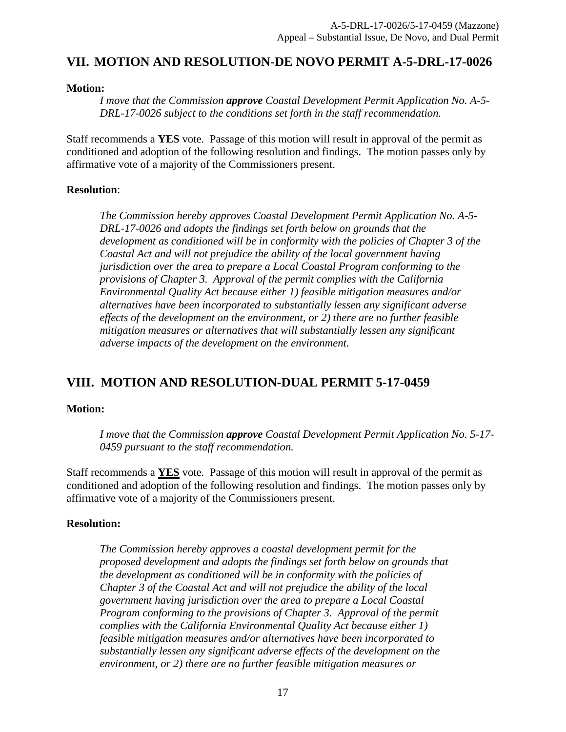## <span id="page-16-0"></span>**VII. MOTION AND RESOLUTION-DE NOVO PERMIT A-5-DRL-17-0026**

#### **Motion:**

*I move that the Commission approve Coastal Development Permit Application No. A-5- DRL-17-0026 subject to the conditions set forth in the staff recommendation.* 

Staff recommends a **YES** vote. Passage of this motion will result in approval of the permit as conditioned and adoption of the following resolution and findings. The motion passes only by affirmative vote of a majority of the Commissioners present.

#### **Resolution**:

*The Commission hereby approves Coastal Development Permit Application No. A-5- DRL-17-0026 and adopts the findings set forth below on grounds that the development as conditioned will be in conformity with the policies of Chapter 3 of the Coastal Act and will not prejudice the ability of the local government having jurisdiction over the area to prepare a Local Coastal Program conforming to the provisions of Chapter 3. Approval of the permit complies with the California Environmental Quality Act because either 1) feasible mitigation measures and/or alternatives have been incorporated to substantially lessen any significant adverse effects of the development on the environment, or 2) there are no further feasible mitigation measures or alternatives that will substantially lessen any significant adverse impacts of the development on the environment.* 

## <span id="page-16-1"></span>**VIII. MOTION AND RESOLUTION-DUAL PERMIT 5-17-0459**

#### **Motion:**

*I move that the Commission approve Coastal Development Permit Application No. 5-17- 0459 pursuant to the staff recommendation.*

Staff recommends a **YES** vote. Passage of this motion will result in approval of the permit as conditioned and adoption of the following resolution and findings. The motion passes only by affirmative vote of a majority of the Commissioners present.

#### **Resolution:**

*The Commission hereby approves a coastal development permit for the proposed development and adopts the findings set forth below on grounds that the development as conditioned will be in conformity with the policies of Chapter 3 of the Coastal Act and will not prejudice the ability of the local government having jurisdiction over the area to prepare a Local Coastal Program conforming to the provisions of Chapter 3. Approval of the permit complies with the California Environmental Quality Act because either 1) feasible mitigation measures and/or alternatives have been incorporated to substantially lessen any significant adverse effects of the development on the environment, or 2) there are no further feasible mitigation measures or*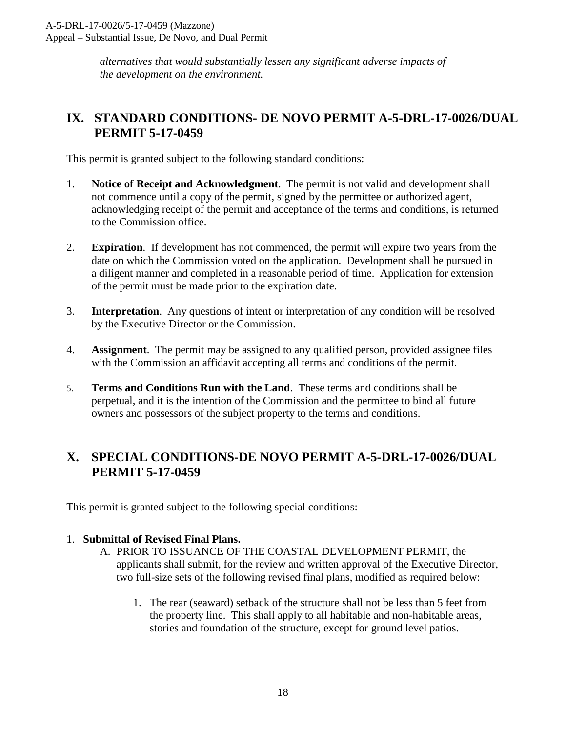*alternatives that would substantially lessen any significant adverse impacts of the development on the environment.* 

## <span id="page-17-0"></span>**IX. STANDARD CONDITIONS- DE NOVO PERMIT A-5-DRL-17-0026/DUAL PERMIT 5-17-0459**

This permit is granted subject to the following standard conditions:

- 1. **Notice of Receipt and Acknowledgment**. The permit is not valid and development shall not commence until a copy of the permit, signed by the permittee or authorized agent, acknowledging receipt of the permit and acceptance of the terms and conditions, is returned to the Commission office.
- 2. **Expiration**. If development has not commenced, the permit will expire two years from the date on which the Commission voted on the application. Development shall be pursued in a diligent manner and completed in a reasonable period of time. Application for extension of the permit must be made prior to the expiration date.
- 3. **Interpretation**. Any questions of intent or interpretation of any condition will be resolved by the Executive Director or the Commission.
- 4. **Assignment**. The permit may be assigned to any qualified person, provided assignee files with the Commission an affidavit accepting all terms and conditions of the permit.
- 5. **Terms and Conditions Run with the Land**. These terms and conditions shall be perpetual, and it is the intention of the Commission and the permittee to bind all future owners and possessors of the subject property to the terms and conditions.

## <span id="page-17-1"></span>**X. SPECIAL CONDITIONS-DE NOVO PERMIT A-5-DRL-17-0026/DUAL PERMIT 5-17-0459**

This permit is granted subject to the following special conditions:

#### 1. **Submittal of Revised Final Plans.**

- A. PRIOR TO ISSUANCE OF THE COASTAL DEVELOPMENT PERMIT, the applicants shall submit, for the review and written approval of the Executive Director, two full-size sets of the following revised final plans, modified as required below:
	- 1. The rear (seaward) setback of the structure shall not be less than 5 feet from the property line. This shall apply to all habitable and non-habitable areas, stories and foundation of the structure, except for ground level patios.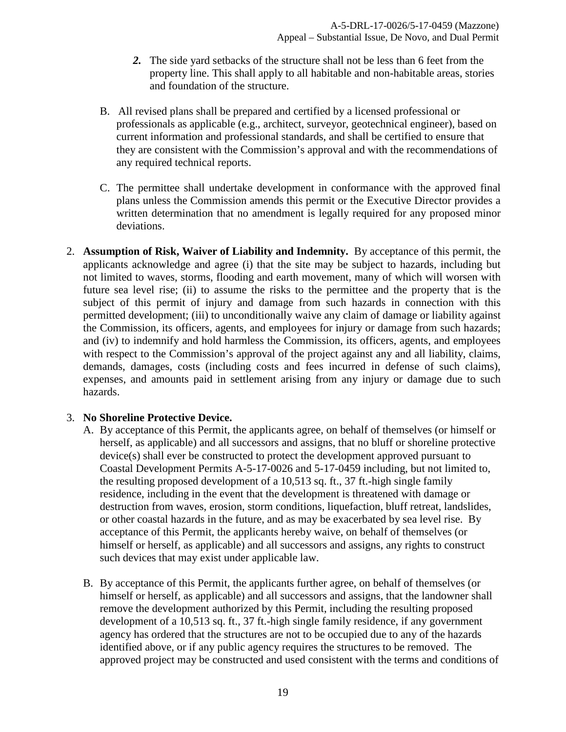- *2.* The side yard setbacks of the structure shall not be less than 6 feet from the property line. This shall apply to all habitable and non-habitable areas, stories and foundation of the structure.
- B. All revised plans shall be prepared and certified by a licensed professional or professionals as applicable (e.g., architect, surveyor, geotechnical engineer), based on current information and professional standards, and shall be certified to ensure that they are consistent with the Commission's approval and with the recommendations of any required technical reports.
- C. The permittee shall undertake development in conformance with the approved final plans unless the Commission amends this permit or the Executive Director provides a written determination that no amendment is legally required for any proposed minor deviations.
- 2. **Assumption of Risk, Waiver of Liability and Indemnity.** By acceptance of this permit, the applicants acknowledge and agree (i) that the site may be subject to hazards, including but not limited to waves, storms, flooding and earth movement, many of which will worsen with future sea level rise; (ii) to assume the risks to the permittee and the property that is the subject of this permit of injury and damage from such hazards in connection with this permitted development; (iii) to unconditionally waive any claim of damage or liability against the Commission, its officers, agents, and employees for injury or damage from such hazards; and (iv) to indemnify and hold harmless the Commission, its officers, agents, and employees with respect to the Commission's approval of the project against any and all liability, claims, demands, damages, costs (including costs and fees incurred in defense of such claims), expenses, and amounts paid in settlement arising from any injury or damage due to such hazards.

#### 3. **No Shoreline Protective Device.**

- A. By acceptance of this Permit, the applicants agree, on behalf of themselves (or himself or herself, as applicable) and all successors and assigns, that no bluff or shoreline protective device(s) shall ever be constructed to protect the development approved pursuant to Coastal Development Permits A-5-17-0026 and 5-17-0459 including, but not limited to, the resulting proposed development of a 10,513 sq. ft., 37 ft.-high single family residence, including in the event that the development is threatened with damage or destruction from waves, erosion, storm conditions, liquefaction, bluff retreat, landslides, or other coastal hazards in the future, and as may be exacerbated by sea level rise. By acceptance of this Permit, the applicants hereby waive, on behalf of themselves (or himself or herself, as applicable) and all successors and assigns, any rights to construct such devices that may exist under applicable law.
- B. By acceptance of this Permit, the applicants further agree, on behalf of themselves (or himself or herself, as applicable) and all successors and assigns, that the landowner shall remove the development authorized by this Permit, including the resulting proposed development of a 10,513 sq. ft., 37 ft.-high single family residence, if any government agency has ordered that the structures are not to be occupied due to any of the hazards identified above, or if any public agency requires the structures to be removed. The approved project may be constructed and used consistent with the terms and conditions of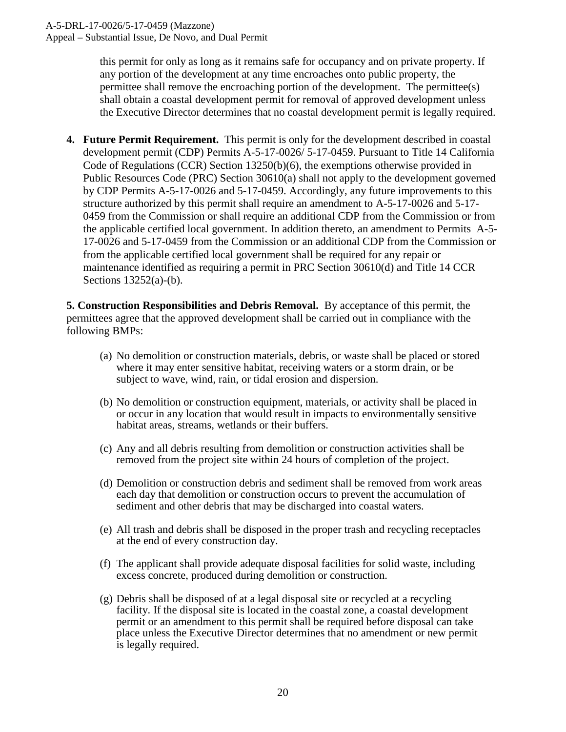this permit for only as long as it remains safe for occupancy and on private property. If any portion of the development at any time encroaches onto public property, the permittee shall remove the encroaching portion of the development. The permittee(s) shall obtain a coastal development permit for removal of approved development unless the Executive Director determines that no coastal development permit is legally required.

**4. Future Permit Requirement.** This permit is only for the development described in coastal development permit (CDP) Permits A-5-17-0026/ 5-17-0459. Pursuant to Title 14 California Code of Regulations (CCR) Section 13250(b)(6), the exemptions otherwise provided in Public Resources Code (PRC) Section 30610(a) shall not apply to the development governed by CDP Permits A-5-17-0026 and 5-17-0459. Accordingly, any future improvements to this structure authorized by this permit shall require an amendment to A-5-17-0026 and 5-17- 0459 from the Commission or shall require an additional CDP from the Commission or from the applicable certified local government. In addition thereto, an amendment to Permits A-5- 17-0026 and 5-17-0459 from the Commission or an additional CDP from the Commission or from the applicable certified local government shall be required for any repair or maintenance identified as requiring a permit in PRC Section 30610(d) and Title 14 CCR Sections 13252(a)-(b).

**5. Construction Responsibilities and Debris Removal.** By acceptance of this permit, the permittees agree that the approved development shall be carried out in compliance with the following BMPs:

- (a) No demolition or construction materials, debris, or waste shall be placed or stored where it may enter sensitive habitat, receiving waters or a storm drain, or be subject to wave, wind, rain, or tidal erosion and dispersion.
- (b) No demolition or construction equipment, materials, or activity shall be placed in or occur in any location that would result in impacts to environmentally sensitive habitat areas, streams, wetlands or their buffers.
- (c) Any and all debris resulting from demolition or construction activities shall be removed from the project site within 24 hours of completion of the project.
- (d) Demolition or construction debris and sediment shall be removed from work areas each day that demolition or construction occurs to prevent the accumulation of sediment and other debris that may be discharged into coastal waters.
- (e) All trash and debris shall be disposed in the proper trash and recycling receptacles at the end of every construction day.
- (f) The applicant shall provide adequate disposal facilities for solid waste, including excess concrete, produced during demolition or construction.
- (g) Debris shall be disposed of at a legal disposal site or recycled at a recycling facility. If the disposal site is located in the coastal zone, a coastal development permit or an amendment to this permit shall be required before disposal can take place unless the Executive Director determines that no amendment or new permit is legally required.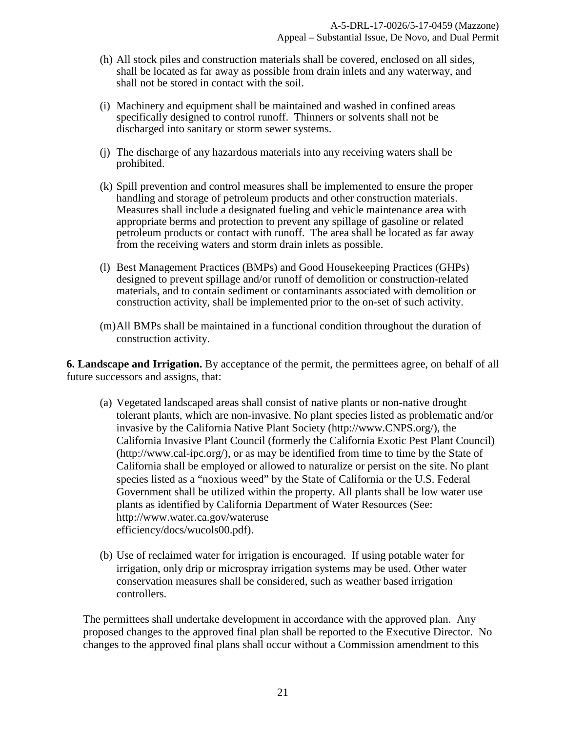- (h) All stock piles and construction materials shall be covered, enclosed on all sides, shall be located as far away as possible from drain inlets and any waterway, and shall not be stored in contact with the soil.
- (i) Machinery and equipment shall be maintained and washed in confined areas specifically designed to control runoff. Thinners or solvents shall not be discharged into sanitary or storm sewer systems.
- (j) The discharge of any hazardous materials into any receiving waters shall be prohibited.
- (k) Spill prevention and control measures shall be implemented to ensure the proper handling and storage of petroleum products and other construction materials. Measures shall include a designated fueling and vehicle maintenance area with appropriate berms and protection to prevent any spillage of gasoline or related petroleum products or contact with runoff. The area shall be located as far away from the receiving waters and storm drain inlets as possible.
- (l) Best Management Practices (BMPs) and Good Housekeeping Practices (GHPs) designed to prevent spillage and/or runoff of demolition or construction-related materials, and to contain sediment or contaminants associated with demolition or construction activity, shall be implemented prior to the on-set of such activity.
- (m)All BMPs shall be maintained in a functional condition throughout the duration of construction activity.

**6. Landscape and Irrigation.** By acceptance of the permit, the permittees agree, on behalf of all future successors and assigns, that:

- (a) Vegetated landscaped areas shall consist of native plants or non-native drought tolerant plants, which are non-invasive. No plant species listed as problematic and/or invasive by the California Native Plant Society (http://www.CNPS.org/), the California Invasive Plant Council (formerly the California Exotic Pest Plant Council) (http://www.cal-ipc.org/), or as may be identified from time to time by the State of California shall be employed or allowed to naturalize or persist on the site. No plant species listed as a "noxious weed" by the State of California or the U.S. Federal Government shall be utilized within the property. All plants shall be low water use plants as identified by California Department of Water Resources (See: http://www.water.ca.gov/wateruse efficiency/docs/wucols00.pdf).
- (b) Use of reclaimed water for irrigation is encouraged. If using potable water for irrigation, only drip or microspray irrigation systems may be used. Other water conservation measures shall be considered, such as weather based irrigation controllers.

The permittees shall undertake development in accordance with the approved plan. Any proposed changes to the approved final plan shall be reported to the Executive Director. No changes to the approved final plans shall occur without a Commission amendment to this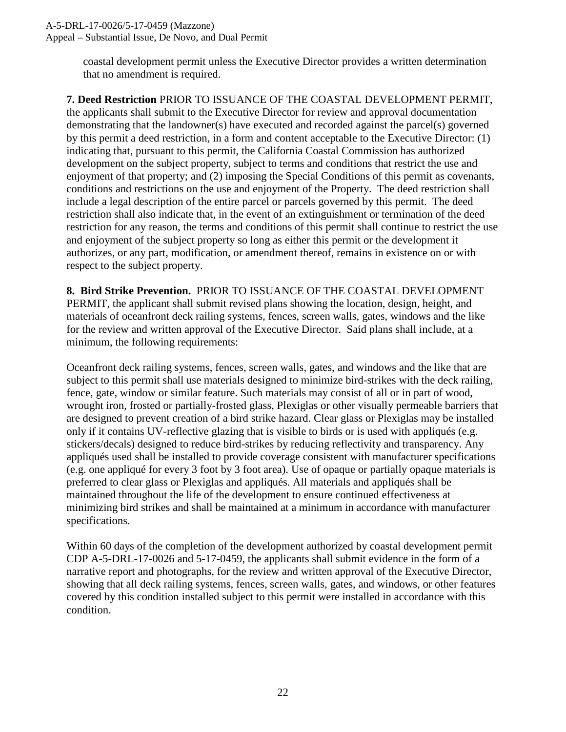#### A-5-DRL-17-0026/5-17-0459 (Mazzone)

Appeal – Substantial Issue, De Novo, and Dual Permit

coastal development permit unless the Executive Director provides a written determination that no amendment is required.

**7. Deed Restriction** PRIOR TO ISSUANCE OF THE COASTAL DEVELOPMENT PERMIT, the applicants shall submit to the Executive Director for review and approval documentation demonstrating that the landowner(s) have executed and recorded against the parcel(s) governed by this permit a deed restriction, in a form and content acceptable to the Executive Director: (1) indicating that, pursuant to this permit, the California Coastal Commission has authorized development on the subject property, subject to terms and conditions that restrict the use and enjoyment of that property; and (2) imposing the Special Conditions of this permit as covenants, conditions and restrictions on the use and enjoyment of the Property. The deed restriction shall include a legal description of the entire parcel or parcels governed by this permit. The deed restriction shall also indicate that, in the event of an extinguishment or termination of the deed restriction for any reason, the terms and conditions of this permit shall continue to restrict the use and enjoyment of the subject property so long as either this permit or the development it authorizes, or any part, modification, or amendment thereof, remains in existence on or with respect to the subject property.

**8. Bird Strike Prevention.** PRIOR TO ISSUANCE OF THE COASTAL DEVELOPMENT PERMIT, the applicant shall submit revised plans showing the location, design, height, and materials of oceanfront deck railing systems, fences, screen walls, gates, windows and the like for the review and written approval of the Executive Director. Said plans shall include, at a minimum, the following requirements:

Oceanfront deck railing systems, fences, screen walls, gates, and windows and the like that are subject to this permit shall use materials designed to minimize bird-strikes with the deck railing, fence, gate, window or similar feature. Such materials may consist of all or in part of wood, wrought iron, frosted or partially-frosted glass, Plexiglas or other visually permeable barriers that are designed to prevent creation of a bird strike hazard. Clear glass or Plexiglas may be installed only if it contains UV-reflective glazing that is visible to birds or is used with appliqués (e.g. stickers/decals) designed to reduce bird-strikes by reducing reflectivity and transparency. Any appliqués used shall be installed to provide coverage consistent with manufacturer specifications (e.g. one appliqué for every 3 foot by 3 foot area). Use of opaque or partially opaque materials is preferred to clear glass or Plexiglas and appliqués. All materials and appliqués shall be maintained throughout the life of the development to ensure continued effectiveness at minimizing bird strikes and shall be maintained at a minimum in accordance with manufacturer specifications.

Within 60 days of the completion of the development authorized by coastal development permit CDP A-5-DRL-17-0026 and 5-17-0459, the applicants shall submit evidence in the form of a narrative report and photographs, for the review and written approval of the Executive Director, showing that all deck railing systems, fences, screen walls, gates, and windows, or other features covered by this condition installed subject to this permit were installed in accordance with this condition.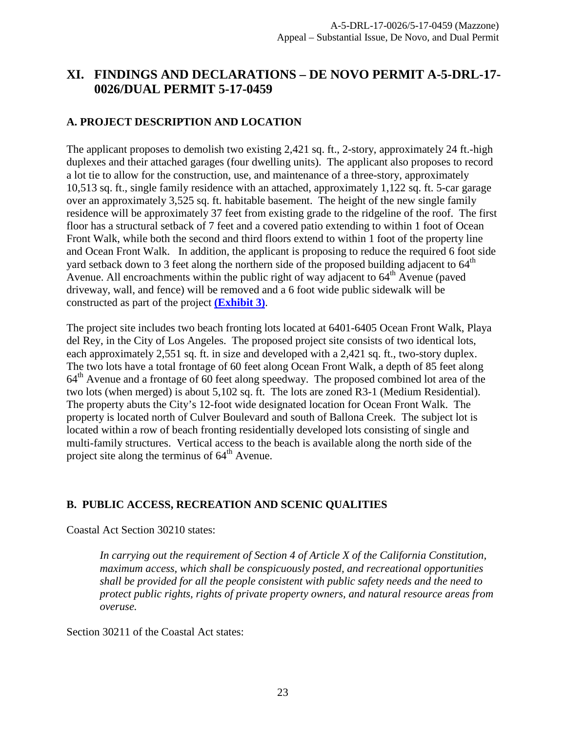## <span id="page-22-1"></span>**XI. FINDINGS AND DECLARATIONS – DE NOVO PERMIT A-5-DRL-17- 0026/DUAL PERMIT 5-17-0459**

#### <span id="page-22-0"></span>**A. PROJECT DESCRIPTION AND LOCATION**

The applicant proposes to demolish two existing 2,421 sq. ft., 2-story, approximately 24 ft.-high duplexes and their attached garages (four dwelling units). The applicant also proposes to record a lot tie to allow for the construction, use, and maintenance of a three-story, approximately 10,513 sq. ft., single family residence with an attached, approximately 1,122 sq. ft. 5-car garage over an approximately 3,525 sq. ft. habitable basement. The height of the new single family residence will be approximately 37 feet from existing grade to the ridgeline of the roof. The first floor has a structural setback of 7 feet and a covered patio extending to within 1 foot of Ocean Front Walk, while both the second and third floors extend to within 1 foot of the property line and Ocean Front Walk. In addition, the applicant is proposing to reduce the required 6 foot side yard setback down to 3 feet along the northern side of the proposed building adjacent to 64<sup>th</sup> Avenue. All encroachments within the public right of way adjacent to  $64<sup>th</sup>$  Avenue (paved driveway, wall, and fence) will be removed and a 6 foot wide public sidewalk will be constructed as part of the project **[\(Exhibit 3\)](https://documents.coastal.ca.gov/reports/2017/12/th10b/th10b-12-2017-exhibits.pdf)**.

The project site includes two beach fronting lots located at 6401-6405 Ocean Front Walk, Playa del Rey, in the City of Los Angeles. The proposed project site consists of two identical lots, each approximately 2,551 sq. ft. in size and developed with a 2,421 sq. ft., two-story duplex. The two lots have a total frontage of 60 feet along Ocean Front Walk, a depth of 85 feet along 64<sup>th</sup> Avenue and a frontage of 60 feet along speedway. The proposed combined lot area of the two lots (when merged) is about 5,102 sq. ft. The lots are zoned R3-1 (Medium Residential). The property abuts the City's 12-foot wide designated location for Ocean Front Walk. The property is located north of Culver Boulevard and south of Ballona Creek. The subject lot is located within a row of beach fronting residentially developed lots consisting of single and multi-family structures. Vertical access to the beach is available along the north side of the project site along the terminus of  $64<sup>th</sup>$  Avenue.

#### <span id="page-22-2"></span>**B. PUBLIC ACCESS, RECREATION AND SCENIC QUALITIES**

Coastal Act Section 30210 states:

*In carrying out the requirement of Section 4 of Article X of the California Constitution, maximum access, which shall be conspicuously posted, and recreational opportunities shall be provided for all the people consistent with public safety needs and the need to protect public rights, rights of private property owners, and natural resource areas from overuse.*

Section 30211 of the Coastal Act states: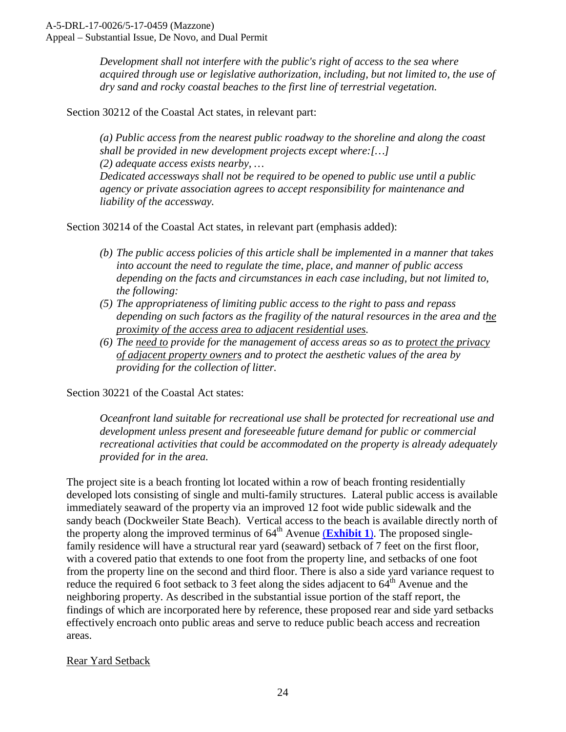*Development shall not interfere with the public's right of access to the sea where acquired through use or legislative authorization, including, but not limited to, the use of dry sand and rocky coastal beaches to the first line of terrestrial vegetation.*

Section 30212 of the Coastal Act states, in relevant part:

*(a) Public access from the nearest public roadway to the shoreline and along the coast shall be provided in new development projects except where:[…] (2) adequate access exists nearby, … Dedicated accessways shall not be required to be opened to public use until a public agency or private association agrees to accept responsibility for maintenance and liability of the accessway.*

Section 30214 of the Coastal Act states, in relevant part (emphasis added):

- *(b) The public access policies of this article shall be implemented in a manner that takes into account the need to regulate the time, place, and manner of public access depending on the facts and circumstances in each case including, but not limited to, the following:*
- *(5) The appropriateness of limiting public access to the right to pass and repass depending on such factors as the fragility of the natural resources in the area and the proximity of the access area to adjacent residential uses.*
- *(6) The need to provide for the management of access areas so as to protect the privacy of adjacent property owners and to protect the aesthetic values of the area by providing for the collection of litter.*

Section 30221 of the Coastal Act states:

*Oceanfront land suitable for recreational use shall be protected for recreational use and development unless present and foreseeable future demand for public or commercial recreational activities that could be accommodated on the property is already adequately provided for in the area.* 

The project site is a beach fronting lot located within a row of beach fronting residentially developed lots consisting of single and multi-family structures. Lateral public access is available immediately seaward of the property via an improved 12 foot wide public sidewalk and the sandy beach (Dockweiler State Beach). Vertical access to the beach is available directly north of the property along the improved terminus of  $64<sup>th</sup>$  Avenue (**[Exhibit 1](https://documents.coastal.ca.gov/reports/2017/12/th10b/th10b-12-2017-exhibits.pdf)**). The proposed singlefamily residence will have a structural rear yard (seaward) setback of 7 feet on the first floor, with a covered patio that extends to one foot from the property line, and setbacks of one foot from the property line on the second and third floor. There is also a side yard variance request to reduce the required 6 foot setback to 3 feet along the sides adjacent to  $64<sup>th</sup>$  Avenue and the neighboring property. As described in the substantial issue portion of the staff report, the findings of which are incorporated here by reference, these proposed rear and side yard setbacks effectively encroach onto public areas and serve to reduce public beach access and recreation areas.

#### Rear Yard Setback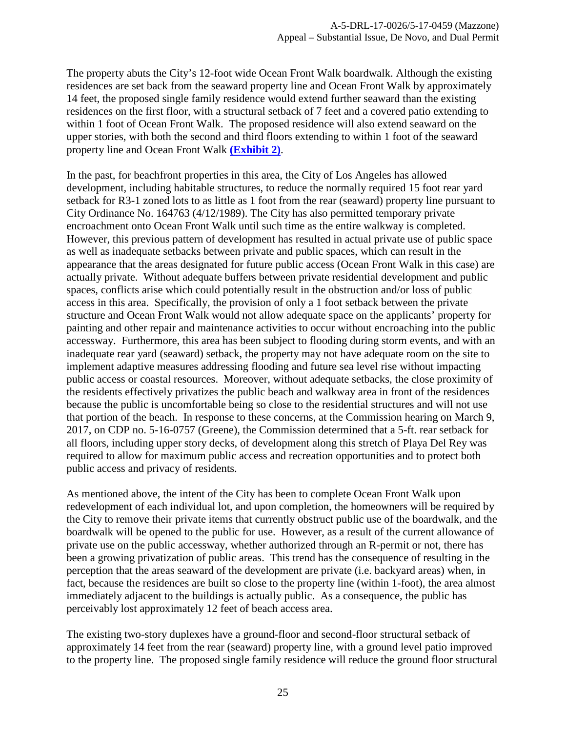The property abuts the City's 12-foot wide Ocean Front Walk boardwalk. Although the existing residences are set back from the seaward property line and Ocean Front Walk by approximately 14 feet, the proposed single family residence would extend further seaward than the existing residences on the first floor, with a structural setback of 7 feet and a covered patio extending to within 1 foot of Ocean Front Walk. The proposed residence will also extend seaward on the upper stories, with both the second and third floors extending to within 1 foot of the seaward property line and Ocean Front Walk **[\(Exhibit 2\)](https://documents.coastal.ca.gov/reports/2017/12/th10b/th10b-12-2017-exhibits.pdf)**.

In the past, for beachfront properties in this area, the City of Los Angeles has allowed development, including habitable structures, to reduce the normally required 15 foot rear yard setback for R3-1 zoned lots to as little as 1 foot from the rear (seaward) property line pursuant to City Ordinance No. 164763 (4/12/1989). The City has also permitted temporary private encroachment onto Ocean Front Walk until such time as the entire walkway is completed. However, this previous pattern of development has resulted in actual private use of public space as well as inadequate setbacks between private and public spaces, which can result in the appearance that the areas designated for future public access (Ocean Front Walk in this case) are actually private. Without adequate buffers between private residential development and public spaces, conflicts arise which could potentially result in the obstruction and/or loss of public access in this area. Specifically, the provision of only a 1 foot setback between the private structure and Ocean Front Walk would not allow adequate space on the applicants' property for painting and other repair and maintenance activities to occur without encroaching into the public accessway. Furthermore, this area has been subject to flooding during storm events, and with an inadequate rear yard (seaward) setback, the property may not have adequate room on the site to implement adaptive measures addressing flooding and future sea level rise without impacting public access or coastal resources. Moreover, without adequate setbacks, the close proximity of the residents effectively privatizes the public beach and walkway area in front of the residences because the public is uncomfortable being so close to the residential structures and will not use that portion of the beach. In response to these concerns, at the Commission hearing on March 9, 2017, on CDP no. 5-16-0757 (Greene), the Commission determined that a 5-ft. rear setback for all floors, including upper story decks, of development along this stretch of Playa Del Rey was required to allow for maximum public access and recreation opportunities and to protect both public access and privacy of residents.

As mentioned above, the intent of the City has been to complete Ocean Front Walk upon redevelopment of each individual lot, and upon completion, the homeowners will be required by the City to remove their private items that currently obstruct public use of the boardwalk, and the boardwalk will be opened to the public for use. However, as a result of the current allowance of private use on the public accessway, whether authorized through an R-permit or not, there has been a growing privatization of public areas. This trend has the consequence of resulting in the perception that the areas seaward of the development are private (i.e. backyard areas) when, in fact, because the residences are built so close to the property line (within 1-foot), the area almost immediately adjacent to the buildings is actually public. As a consequence, the public has perceivably lost approximately 12 feet of beach access area.

The existing two-story duplexes have a ground-floor and second-floor structural setback of approximately 14 feet from the rear (seaward) property line, with a ground level patio improved to the property line. The proposed single family residence will reduce the ground floor structural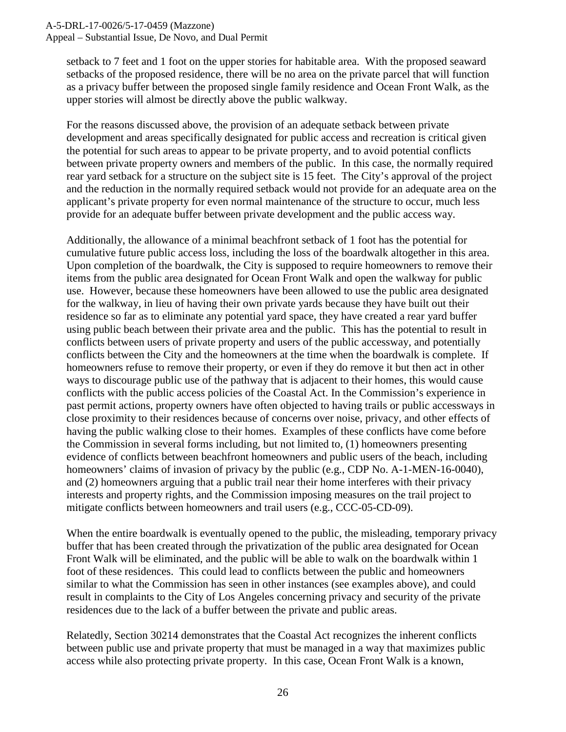#### A-5-DRL-17-0026/5-17-0459 (Mazzone)

Appeal – Substantial Issue, De Novo, and Dual Permit

setback to 7 feet and 1 foot on the upper stories for habitable area. With the proposed seaward setbacks of the proposed residence, there will be no area on the private parcel that will function as a privacy buffer between the proposed single family residence and Ocean Front Walk, as the upper stories will almost be directly above the public walkway.

For the reasons discussed above, the provision of an adequate setback between private development and areas specifically designated for public access and recreation is critical given the potential for such areas to appear to be private property, and to avoid potential conflicts between private property owners and members of the public. In this case, the normally required rear yard setback for a structure on the subject site is 15 feet. The City's approval of the project and the reduction in the normally required setback would not provide for an adequate area on the applicant's private property for even normal maintenance of the structure to occur, much less provide for an adequate buffer between private development and the public access way.

Additionally, the allowance of a minimal beachfront setback of 1 foot has the potential for cumulative future public access loss, including the loss of the boardwalk altogether in this area. Upon completion of the boardwalk, the City is supposed to require homeowners to remove their items from the public area designated for Ocean Front Walk and open the walkway for public use. However, because these homeowners have been allowed to use the public area designated for the walkway, in lieu of having their own private yards because they have built out their residence so far as to eliminate any potential yard space, they have created a rear yard buffer using public beach between their private area and the public. This has the potential to result in conflicts between users of private property and users of the public accessway, and potentially conflicts between the City and the homeowners at the time when the boardwalk is complete. If homeowners refuse to remove their property, or even if they do remove it but then act in other ways to discourage public use of the pathway that is adjacent to their homes, this would cause conflicts with the public access policies of the Coastal Act. In the Commission's experience in past permit actions, property owners have often objected to having trails or public accessways in close proximity to their residences because of concerns over noise, privacy, and other effects of having the public walking close to their homes. Examples of these conflicts have come before the Commission in several forms including, but not limited to, (1) homeowners presenting evidence of conflicts between beachfront homeowners and public users of the beach, including homeowners' claims of invasion of privacy by the public (e.g., CDP No. A-1-MEN-16-0040), and (2) homeowners arguing that a public trail near their home interferes with their privacy interests and property rights, and the Commission imposing measures on the trail project to mitigate conflicts between homeowners and trail users (e.g., CCC-05-CD-09).

When the entire boardwalk is eventually opened to the public, the misleading, temporary privacy buffer that has been created through the privatization of the public area designated for Ocean Front Walk will be eliminated, and the public will be able to walk on the boardwalk within 1 foot of these residences. This could lead to conflicts between the public and homeowners similar to what the Commission has seen in other instances (see examples above), and could result in complaints to the City of Los Angeles concerning privacy and security of the private residences due to the lack of a buffer between the private and public areas.

Relatedly, Section 30214 demonstrates that the Coastal Act recognizes the inherent conflicts between public use and private property that must be managed in a way that maximizes public access while also protecting private property. In this case, Ocean Front Walk is a known,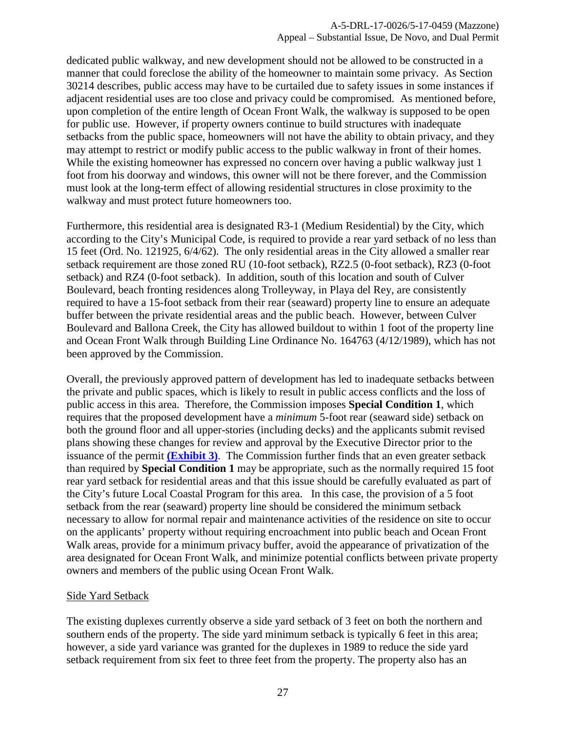dedicated public walkway, and new development should not be allowed to be constructed in a manner that could foreclose the ability of the homeowner to maintain some privacy. As Section 30214 describes, public access may have to be curtailed due to safety issues in some instances if adjacent residential uses are too close and privacy could be compromised. As mentioned before, upon completion of the entire length of Ocean Front Walk, the walkway is supposed to be open for public use. However, if property owners continue to build structures with inadequate setbacks from the public space, homeowners will not have the ability to obtain privacy, and they may attempt to restrict or modify public access to the public walkway in front of their homes. While the existing homeowner has expressed no concern over having a public walkway just 1 foot from his doorway and windows, this owner will not be there forever, and the Commission must look at the long-term effect of allowing residential structures in close proximity to the walkway and must protect future homeowners too.

Furthermore, this residential area is designated R3-1 (Medium Residential) by the City, which according to the City's Municipal Code, is required to provide a rear yard setback of no less than 15 feet (Ord. No. 121925, 6/4/62). The only residential areas in the City allowed a smaller rear setback requirement are those zoned RU (10-foot setback), RZ2.5 (0-foot setback), RZ3 (0-foot setback) and RZ4 (0-foot setback). In addition, south of this location and south of Culver Boulevard, beach fronting residences along Trolleyway, in Playa del Rey, are consistently required to have a 15-foot setback from their rear (seaward) property line to ensure an adequate buffer between the private residential areas and the public beach. However, between Culver Boulevard and Ballona Creek, the City has allowed buildout to within 1 foot of the property line and Ocean Front Walk through Building Line Ordinance No. 164763 (4/12/1989), which has not been approved by the Commission.

Overall, the previously approved pattern of development has led to inadequate setbacks between the private and public spaces, which is likely to result in public access conflicts and the loss of public access in this area. Therefore, the Commission imposes **Special Condition 1**, which requires that the proposed development have a *minimum* 5-foot rear (seaward side) setback on both the ground floor and all upper-stories (including decks) and the applicants submit revised plans showing these changes for review and approval by the Executive Director prior to the issuance of the permit **[\(Exhibit 3\)](https://documents.coastal.ca.gov/reports/2017/12/th10b/th10b-12-2017-exhibits.pdf)**. The Commission further finds that an even greater setback than required by **Special Condition 1** may be appropriate, such as the normally required 15 foot rear yard setback for residential areas and that this issue should be carefully evaluated as part of the City's future Local Coastal Program for this area. In this case, the provision of a 5 foot setback from the rear (seaward) property line should be considered the minimum setback necessary to allow for normal repair and maintenance activities of the residence on site to occur on the applicants' property without requiring encroachment into public beach and Ocean Front Walk areas, provide for a minimum privacy buffer, avoid the appearance of privatization of the area designated for Ocean Front Walk, and minimize potential conflicts between private property owners and members of the public using Ocean Front Walk.

#### Side Yard Setback

The existing duplexes currently observe a side yard setback of 3 feet on both the northern and southern ends of the property. The side yard minimum setback is typically 6 feet in this area; however, a side yard variance was granted for the duplexes in 1989 to reduce the side yard setback requirement from six feet to three feet from the property. The property also has an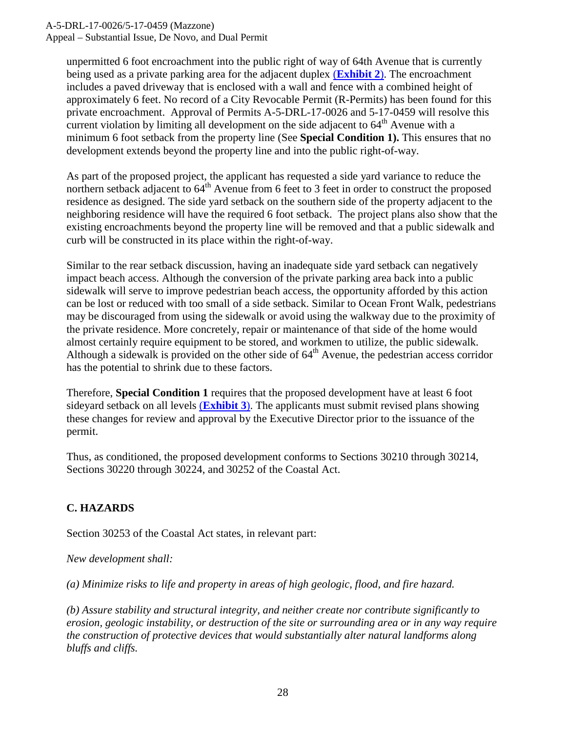A-5-DRL-17-0026/5-17-0459 (Mazzone)

Appeal – Substantial Issue, De Novo, and Dual Permit

unpermitted 6 foot encroachment into the public right of way of 64th Avenue that is currently being used as a private parking area for the adjacent duplex (**[Exhibit 2](https://documents.coastal.ca.gov/reports/2017/12/th10b/th10b-12-2017-exhibits.pdf)**). The encroachment includes a paved driveway that is enclosed with a wall and fence with a combined height of approximately 6 feet. No record of a City Revocable Permit (R-Permits) has been found for this private encroachment. Approval of Permits A-5-DRL-17-0026 and 5-17-0459 will resolve this current violation by limiting all development on the side adjacent to  $64<sup>th</sup>$  Avenue with a minimum 6 foot setback from the property line (See **Special Condition 1).** This ensures that no development extends beyond the property line and into the public right-of-way.

As part of the proposed project, the applicant has requested a side yard variance to reduce the northern setback adjacent to  $64^{\text{th}}$  Avenue from 6 feet to 3 feet in order to construct the proposed residence as designed. The side yard setback on the southern side of the property adjacent to the neighboring residence will have the required 6 foot setback. The project plans also show that the existing encroachments beyond the property line will be removed and that a public sidewalk and curb will be constructed in its place within the right-of-way.

Similar to the rear setback discussion, having an inadequate side yard setback can negatively impact beach access. Although the conversion of the private parking area back into a public sidewalk will serve to improve pedestrian beach access, the opportunity afforded by this action can be lost or reduced with too small of a side setback. Similar to Ocean Front Walk, pedestrians may be discouraged from using the sidewalk or avoid using the walkway due to the proximity of the private residence. More concretely, repair or maintenance of that side of the home would almost certainly require equipment to be stored, and workmen to utilize, the public sidewalk. Although a sidewalk is provided on the other side of  $64<sup>th</sup>$  Avenue, the pedestrian access corridor has the potential to shrink due to these factors.

Therefore, **Special Condition 1** requires that the proposed development have at least 6 foot sideyard setback on all levels (**[Exhibit 3](https://documents.coastal.ca.gov/reports/2017/12/th10b/th10b-12-2017-exhibits.pdf)**). The applicants must submit revised plans showing these changes for review and approval by the Executive Director prior to the issuance of the permit.

Thus, as conditioned, the proposed development conforms to Sections 30210 through 30214, Sections 30220 through 30224, and 30252 of the Coastal Act.

#### <span id="page-27-0"></span>**C. HAZARDS**

Section 30253 of the Coastal Act states, in relevant part:

*New development shall:* 

*(a) Minimize risks to life and property in areas of high geologic, flood, and fire hazard.* 

*(b) Assure stability and structural integrity, and neither create nor contribute significantly to erosion, geologic instability, or destruction of the site or surrounding area or in any way require the construction of protective devices that would substantially alter natural landforms along bluffs and cliffs.*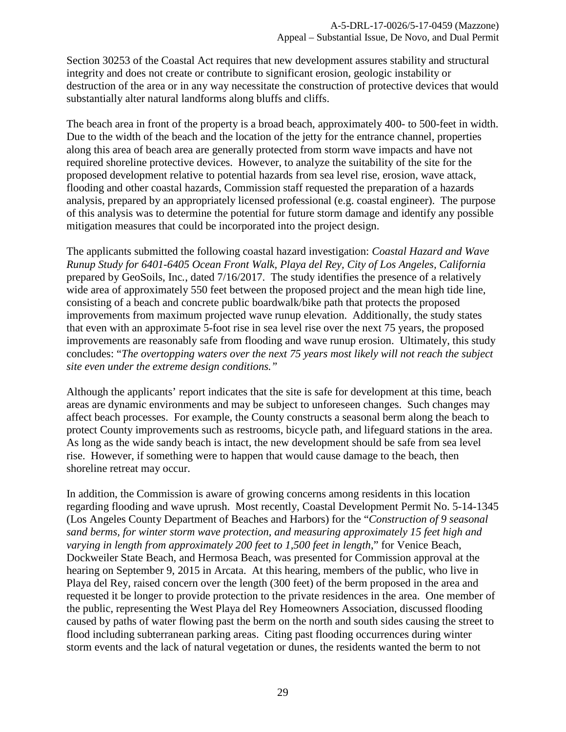Section 30253 of the Coastal Act requires that new development assures stability and structural integrity and does not create or contribute to significant erosion, geologic instability or destruction of the area or in any way necessitate the construction of protective devices that would substantially alter natural landforms along bluffs and cliffs.

The beach area in front of the property is a broad beach, approximately 400- to 500-feet in width. Due to the width of the beach and the location of the jetty for the entrance channel, properties along this area of beach area are generally protected from storm wave impacts and have not required shoreline protective devices. However, to analyze the suitability of the site for the proposed development relative to potential hazards from sea level rise, erosion, wave attack, flooding and other coastal hazards, Commission staff requested the preparation of a hazards analysis, prepared by an appropriately licensed professional (e.g. coastal engineer). The purpose of this analysis was to determine the potential for future storm damage and identify any possible mitigation measures that could be incorporated into the project design.

The applicants submitted the following coastal hazard investigation: *Coastal Hazard and Wave Runup Study for 6401-6405 Ocean Front Walk, Playa del Rey, City of Los Angeles, California*  prepared by GeoSoils, Inc*.*, dated 7/16/2017. The study identifies the presence of a relatively wide area of approximately 550 feet between the proposed project and the mean high tide line, consisting of a beach and concrete public boardwalk/bike path that protects the proposed improvements from maximum projected wave runup elevation. Additionally, the study states that even with an approximate 5-foot rise in sea level rise over the next 75 years, the proposed improvements are reasonably safe from flooding and wave runup erosion. Ultimately, this study concludes: "*The overtopping waters over the next 75 years most likely will not reach the subject site even under the extreme design conditions."*

Although the applicants' report indicates that the site is safe for development at this time, beach areas are dynamic environments and may be subject to unforeseen changes. Such changes may affect beach processes. For example, the County constructs a seasonal berm along the beach to protect County improvements such as restrooms, bicycle path, and lifeguard stations in the area. As long as the wide sandy beach is intact, the new development should be safe from sea level rise. However, if something were to happen that would cause damage to the beach, then shoreline retreat may occur.

In addition, the Commission is aware of growing concerns among residents in this location regarding flooding and wave uprush. Most recently, Coastal Development Permit No. 5-14-1345 (Los Angeles County Department of Beaches and Harbors) for the "*Construction of 9 seasonal sand berms, for winter storm wave protection, and measuring approximately 15 feet high and varying in length from approximately 200 feet to 1,500 feet in length*," for Venice Beach, Dockweiler State Beach, and Hermosa Beach, was presented for Commission approval at the hearing on September 9, 2015 in Arcata. At this hearing, members of the public, who live in Playa del Rey, raised concern over the length (300 feet) of the berm proposed in the area and requested it be longer to provide protection to the private residences in the area. One member of the public, representing the West Playa del Rey Homeowners Association, discussed flooding caused by paths of water flowing past the berm on the north and south sides causing the street to flood including subterranean parking areas. Citing past flooding occurrences during winter storm events and the lack of natural vegetation or dunes, the residents wanted the berm to not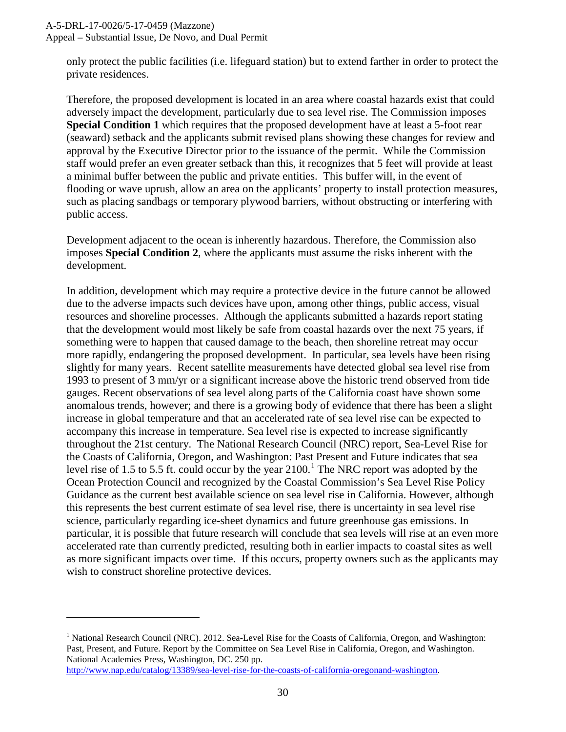$\overline{a}$ 

only protect the public facilities (i.e. lifeguard station) but to extend farther in order to protect the private residences.

Therefore, the proposed development is located in an area where coastal hazards exist that could adversely impact the development, particularly due to sea level rise. The Commission imposes **Special Condition 1** which requires that the proposed development have at least a 5-foot rear (seaward) setback and the applicants submit revised plans showing these changes for review and approval by the Executive Director prior to the issuance of the permit. While the Commission staff would prefer an even greater setback than this, it recognizes that 5 feet will provide at least a minimal buffer between the public and private entities. This buffer will, in the event of flooding or wave uprush, allow an area on the applicants' property to install protection measures, such as placing sandbags or temporary plywood barriers, without obstructing or interfering with public access.

Development adjacent to the ocean is inherently hazardous. Therefore, the Commission also imposes **Special Condition 2**, where the applicants must assume the risks inherent with the development.

In addition, development which may require a protective device in the future cannot be allowed due to the adverse impacts such devices have upon, among other things, public access, visual resources and shoreline processes. Although the applicants submitted a hazards report stating that the development would most likely be safe from coastal hazards over the next 75 years, if something were to happen that caused damage to the beach, then shoreline retreat may occur more rapidly, endangering the proposed development. In particular, sea levels have been rising slightly for many years. Recent satellite measurements have detected global sea level rise from 1993 to present of 3 mm/yr or a significant increase above the historic trend observed from tide gauges. Recent observations of sea level along parts of the California coast have shown some anomalous trends, however; and there is a growing body of evidence that there has been a slight increase in global temperature and that an accelerated rate of sea level rise can be expected to accompany this increase in temperature. Sea level rise is expected to increase significantly throughout the 21st century. The National Research Council (NRC) report, Sea-Level Rise for the Coasts of California, Oregon, and Washington: Past Present and Future indicates that sea level rise of [1](#page-29-0).5 to 5.5 ft. could occur by the year  $2100$ .<sup>1</sup> The NRC report was adopted by the Ocean Protection Council and recognized by the Coastal Commission's Sea Level Rise Policy Guidance as the current best available science on sea level rise in California. However, although this represents the best current estimate of sea level rise, there is uncertainty in sea level rise science, particularly regarding ice-sheet dynamics and future greenhouse gas emissions. In particular, it is possible that future research will conclude that sea levels will rise at an even more accelerated rate than currently predicted, resulting both in earlier impacts to coastal sites as well as more significant impacts over time. If this occurs, property owners such as the applicants may wish to construct shoreline protective devices.

<span id="page-29-0"></span><sup>&</sup>lt;sup>1</sup> National Research Council (NRC). 2012. Sea-Level Rise for the Coasts of California, Oregon, and Washington: Past, Present, and Future. Report by the Committee on Sea Level Rise in California, Oregon, and Washington. National Academies Press, Washington, DC. 250 pp. [http://www.nap.edu/catalog/13389/sea-level-rise-for-the-coasts-of-california-oregonand-washington.](http://www.nap.edu/catalog/13389/sea-level-rise-for-the-coasts-of-california-oregonand-washington)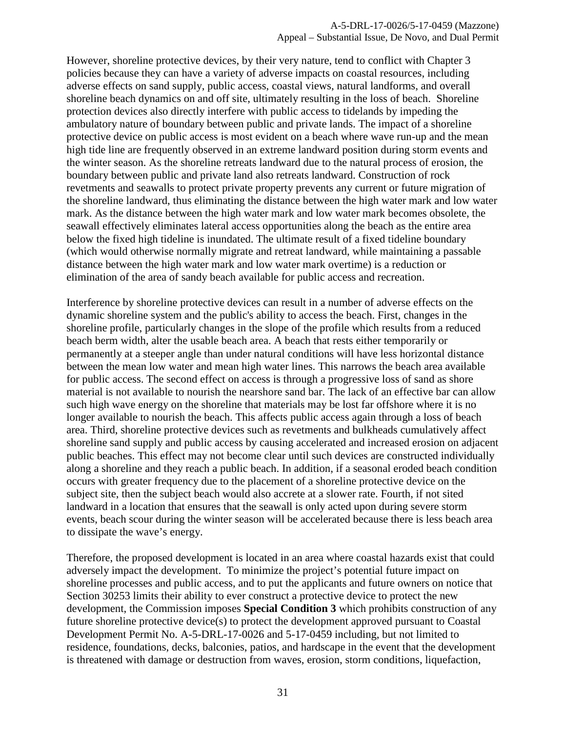However, shoreline protective devices, by their very nature, tend to conflict with Chapter 3 policies because they can have a variety of adverse impacts on coastal resources, including adverse effects on sand supply, public access, coastal views, natural landforms, and overall shoreline beach dynamics on and off site, ultimately resulting in the loss of beach. Shoreline protection devices also directly interfere with public access to tidelands by impeding the ambulatory nature of boundary between public and private lands. The impact of a shoreline protective device on public access is most evident on a beach where wave run-up and the mean high tide line are frequently observed in an extreme landward position during storm events and the winter season. As the shoreline retreats landward due to the natural process of erosion, the boundary between public and private land also retreats landward. Construction of rock revetments and seawalls to protect private property prevents any current or future migration of the shoreline landward, thus eliminating the distance between the high water mark and low water mark. As the distance between the high water mark and low water mark becomes obsolete, the seawall effectively eliminates lateral access opportunities along the beach as the entire area below the fixed high tideline is inundated. The ultimate result of a fixed tideline boundary (which would otherwise normally migrate and retreat landward, while maintaining a passable distance between the high water mark and low water mark overtime) is a reduction or elimination of the area of sandy beach available for public access and recreation.

Interference by shoreline protective devices can result in a number of adverse effects on the dynamic shoreline system and the public's ability to access the beach. First, changes in the shoreline profile, particularly changes in the slope of the profile which results from a reduced beach berm width, alter the usable beach area. A beach that rests either temporarily or permanently at a steeper angle than under natural conditions will have less horizontal distance between the mean low water and mean high water lines. This narrows the beach area available for public access. The second effect on access is through a progressive loss of sand as shore material is not available to nourish the nearshore sand bar. The lack of an effective bar can allow such high wave energy on the shoreline that materials may be lost far offshore where it is no longer available to nourish the beach. This affects public access again through a loss of beach area. Third, shoreline protective devices such as revetments and bulkheads cumulatively affect shoreline sand supply and public access by causing accelerated and increased erosion on adjacent public beaches. This effect may not become clear until such devices are constructed individually along a shoreline and they reach a public beach. In addition, if a seasonal eroded beach condition occurs with greater frequency due to the placement of a shoreline protective device on the subject site, then the subject beach would also accrete at a slower rate. Fourth, if not sited landward in a location that ensures that the seawall is only acted upon during severe storm events, beach scour during the winter season will be accelerated because there is less beach area to dissipate the wave's energy.

Therefore, the proposed development is located in an area where coastal hazards exist that could adversely impact the development. To minimize the project's potential future impact on shoreline processes and public access, and to put the applicants and future owners on notice that Section 30253 limits their ability to ever construct a protective device to protect the new development, the Commission imposes **Special Condition 3** which prohibits construction of any future shoreline protective device(s) to protect the development approved pursuant to Coastal Development Permit No. A-5-DRL-17-0026 and 5-17-0459 including, but not limited to residence, foundations, decks, balconies, patios, and hardscape in the event that the development is threatened with damage or destruction from waves, erosion, storm conditions, liquefaction,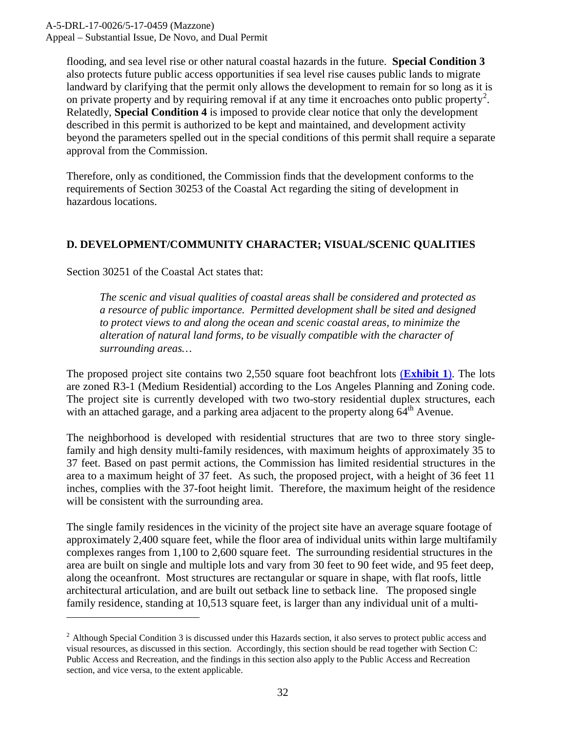A-5-DRL-17-0026/5-17-0459 (Mazzone) Appeal – Substantial Issue, De Novo, and Dual Permit

flooding, and sea level rise or other natural coastal hazards in the future. **Special Condition 3** also protects future public access opportunities if sea level rise causes public lands to migrate landward by clarifying that the permit only allows the development to remain for so long as it is on private property and by requiring removal if at any time it encroaches onto public property<sup>[2](#page-31-1)</sup>. Relatedly, **Special Condition 4** is imposed to provide clear notice that only the development described in this permit is authorized to be kept and maintained, and development activity beyond the parameters spelled out in the special conditions of this permit shall require a separate approval from the Commission.

Therefore, only as conditioned, the Commission finds that the development conforms to the requirements of Section 30253 of the Coastal Act regarding the siting of development in hazardous locations.

#### <span id="page-31-0"></span>**D. DEVELOPMENT/COMMUNITY CHARACTER; VISUAL/SCENIC QUALITIES**

Section 30251 of the Coastal Act states that:

 $\overline{a}$ 

*The scenic and visual qualities of coastal areas shall be considered and protected as a resource of public importance. Permitted development shall be sited and designed to protect views to and along the ocean and scenic coastal areas, to minimize the alteration of natural land forms, to be visually compatible with the character of surrounding areas…* 

The proposed project site contains two 2,550 square foot beachfront lots (**[Exhibit 1](https://documents.coastal.ca.gov/reports/2017/12/th10b/th10b-12-2017-exhibits.pdf)**). The lots are zoned R3-1 (Medium Residential) according to the Los Angeles Planning and Zoning code. The project site is currently developed with two two-story residential duplex structures, each with an attached garage, and a parking area adjacent to the property along 64<sup>th</sup> Avenue.

The neighborhood is developed with residential structures that are two to three story singlefamily and high density multi-family residences, with maximum heights of approximately 35 to 37 feet. Based on past permit actions, the Commission has limited residential structures in the area to a maximum height of 37 feet. As such, the proposed project, with a height of 36 feet 11 inches, complies with the 37-foot height limit. Therefore, the maximum height of the residence will be consistent with the surrounding area.

The single family residences in the vicinity of the project site have an average square footage of approximately 2,400 square feet, while the floor area of individual units within large multifamily complexes ranges from 1,100 to 2,600 square feet. The surrounding residential structures in the area are built on single and multiple lots and vary from 30 feet to 90 feet wide, and 95 feet deep, along the oceanfront. Most structures are rectangular or square in shape, with flat roofs, little architectural articulation, and are built out setback line to setback line. The proposed single family residence, standing at 10,513 square feet, is larger than any individual unit of a multi-

<span id="page-31-1"></span> $<sup>2</sup>$  Although Special Condition 3 is discussed under this Hazards section, it also serves to protect public access and</sup> visual resources, as discussed in this section. Accordingly, this section should be read together with Section C: Public Access and Recreation, and the findings in this section also apply to the Public Access and Recreation section, and vice versa, to the extent applicable.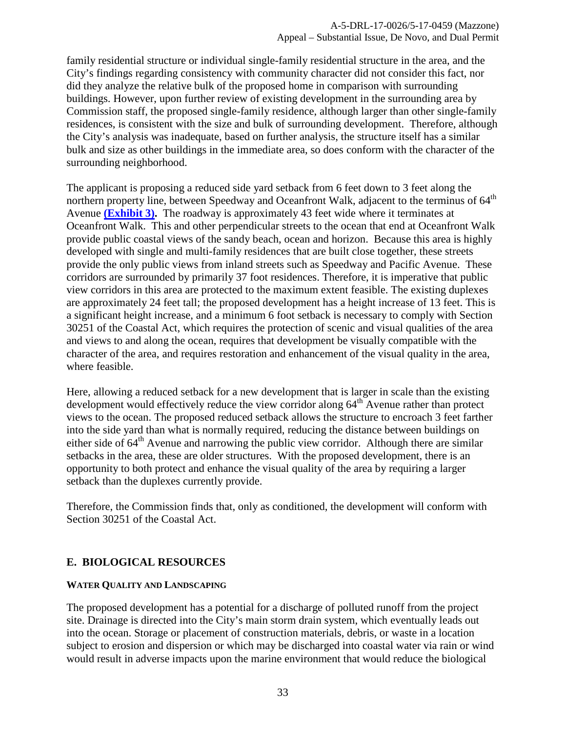family residential structure or individual single-family residential structure in the area, and the City's findings regarding consistency with community character did not consider this fact, nor did they analyze the relative bulk of the proposed home in comparison with surrounding buildings. However, upon further review of existing development in the surrounding area by Commission staff, the proposed single-family residence, although larger than other single-family residences, is consistent with the size and bulk of surrounding development. Therefore, although the City's analysis was inadequate, based on further analysis, the structure itself has a similar bulk and size as other buildings in the immediate area, so does conform with the character of the surrounding neighborhood.

The applicant is proposing a reduced side yard setback from 6 feet down to 3 feet along the northern property line, between Speedway and Oceanfront Walk, adjacent to the terminus of 64<sup>th</sup> Avenue **[\(Exhibit 3\).](https://documents.coastal.ca.gov/reports/2017/12/th10b/th10b-12-2017-exhibits.pdf)** The roadway is approximately 43 feet wide where it terminates at Oceanfront Walk. This and other perpendicular streets to the ocean that end at Oceanfront Walk provide public coastal views of the sandy beach, ocean and horizon. Because this area is highly developed with single and multi-family residences that are built close together, these streets provide the only public views from inland streets such as Speedway and Pacific Avenue. These corridors are surrounded by primarily 37 foot residences. Therefore, it is imperative that public view corridors in this area are protected to the maximum extent feasible. The existing duplexes are approximately 24 feet tall; the proposed development has a height increase of 13 feet. This is a significant height increase, and a minimum 6 foot setback is necessary to comply with Section 30251 of the Coastal Act, which requires the protection of scenic and visual qualities of the area and views to and along the ocean, requires that development be visually compatible with the character of the area, and requires restoration and enhancement of the visual quality in the area, where feasible.

Here, allowing a reduced setback for a new development that is larger in scale than the existing development would effectively reduce the view corridor along  $64<sup>th</sup>$  Avenue rather than protect views to the ocean. The proposed reduced setback allows the structure to encroach 3 feet farther into the side yard than what is normally required, reducing the distance between buildings on either side of  $64<sup>th</sup>$  Avenue and narrowing the public view corridor. Although there are similar setbacks in the area, these are older structures. With the proposed development, there is an opportunity to both protect and enhance the visual quality of the area by requiring a larger setback than the duplexes currently provide.

Therefore, the Commission finds that, only as conditioned, the development will conform with Section 30251 of the Coastal Act.

#### <span id="page-32-0"></span>**E. BIOLOGICAL RESOURCES**

#### **WATER QUALITY AND LANDSCAPING**

The proposed development has a potential for a discharge of polluted runoff from the project site. Drainage is directed into the City's main storm drain system, which eventually leads out into the ocean. Storage or placement of construction materials, debris, or waste in a location subject to erosion and dispersion or which may be discharged into coastal water via rain or wind would result in adverse impacts upon the marine environment that would reduce the biological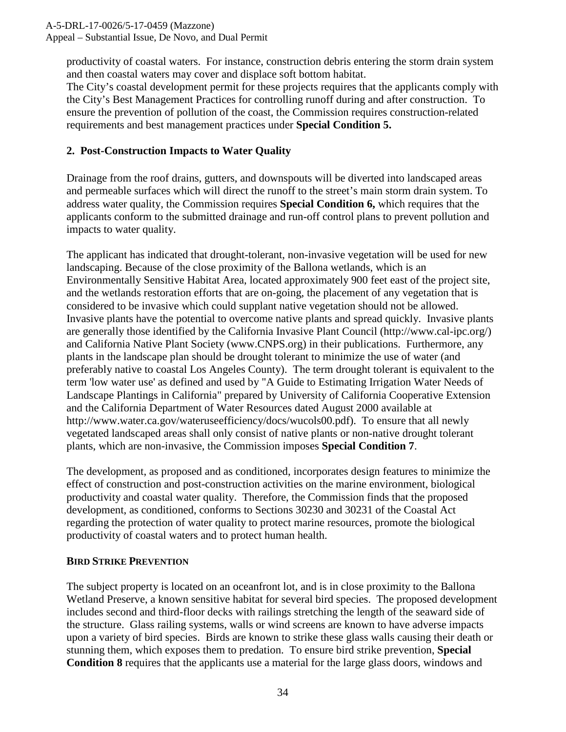Appeal – Substantial Issue, De Novo, and Dual Permit

productivity of coastal waters. For instance, construction debris entering the storm drain system and then coastal waters may cover and displace soft bottom habitat.

The City's coastal development permit for these projects requires that the applicants comply with the City's Best Management Practices for controlling runoff during and after construction. To ensure the prevention of pollution of the coast, the Commission requires construction-related requirements and best management practices under **Special Condition 5.** 

#### **2. Post-Construction Impacts to Water Quality**

Drainage from the roof drains, gutters, and downspouts will be diverted into landscaped areas and permeable surfaces which will direct the runoff to the street's main storm drain system. To address water quality, the Commission requires **Special Condition 6,** which requires that the applicants conform to the submitted drainage and run-off control plans to prevent pollution and impacts to water quality.

The applicant has indicated that drought-tolerant, non-invasive vegetation will be used for new landscaping. Because of the close proximity of the Ballona wetlands, which is an Environmentally Sensitive Habitat Area, located approximately 900 feet east of the project site, and the wetlands restoration efforts that are on-going, the placement of any vegetation that is considered to be invasive which could supplant native vegetation should not be allowed. Invasive plants have the potential to overcome native plants and spread quickly. Invasive plants are generally those identified by the California Invasive Plant Council (http://www.cal-ipc.org/) and California Native Plant Society (www.CNPS.org) in their publications. Furthermore, any plants in the landscape plan should be drought tolerant to minimize the use of water (and preferably native to coastal Los Angeles County). The term drought tolerant is equivalent to the term 'low water use' as defined and used by "A Guide to Estimating Irrigation Water Needs of Landscape Plantings in California" prepared by University of California Cooperative Extension and the California Department of Water Resources dated August 2000 available at http://www.water.ca.gov/wateruseefficiency/docs/wucols00.pdf). To ensure that all newly vegetated landscaped areas shall only consist of native plants or non-native drought tolerant plants, which are non-invasive, the Commission imposes **Special Condition 7**.

The development, as proposed and as conditioned, incorporates design features to minimize the effect of construction and post-construction activities on the marine environment, biological productivity and coastal water quality. Therefore, the Commission finds that the proposed development, as conditioned, conforms to Sections 30230 and 30231 of the Coastal Act regarding the protection of water quality to protect marine resources, promote the biological productivity of coastal waters and to protect human health.

#### **BIRD STRIKE PREVENTION**

The subject property is located on an oceanfront lot, and is in close proximity to the Ballona Wetland Preserve, a known sensitive habitat for several bird species. The proposed development includes second and third-floor decks with railings stretching the length of the seaward side of the structure. Glass railing systems, walls or wind screens are known to have adverse impacts upon a variety of bird species. Birds are known to strike these glass walls causing their death or stunning them, which exposes them to predation. To ensure bird strike prevention, **Special Condition 8** requires that the applicants use a material for the large glass doors, windows and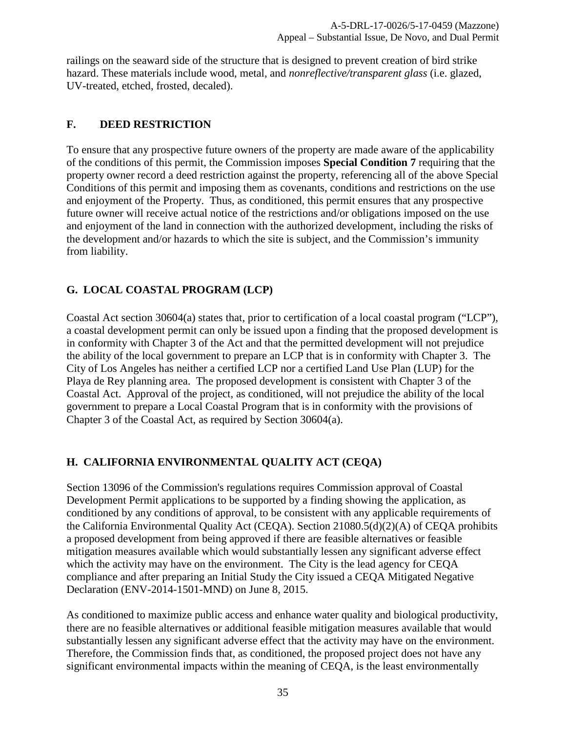railings on the seaward side of the structure that is designed to prevent creation of bird strike hazard. These materials include wood, metal, and *nonreflective/transparent glass* (i.e. glazed, UV-treated, etched, frosted, decaled).

#### <span id="page-34-0"></span>**F. DEED RESTRICTION**

To ensure that any prospective future owners of the property are made aware of the applicability of the conditions of this permit, the Commission imposes **Special Condition 7** requiring that the property owner record a deed restriction against the property, referencing all of the above Special Conditions of this permit and imposing them as covenants, conditions and restrictions on the use and enjoyment of the Property. Thus, as conditioned, this permit ensures that any prospective future owner will receive actual notice of the restrictions and/or obligations imposed on the use and enjoyment of the land in connection with the authorized development, including the risks of the development and/or hazards to which the site is subject, and the Commission's immunity from liability.

## <span id="page-34-1"></span>**G. LOCAL COASTAL PROGRAM (LCP)**

Coastal Act section 30604(a) states that, prior to certification of a local coastal program ("LCP"), a coastal development permit can only be issued upon a finding that the proposed development is in conformity with Chapter 3 of the Act and that the permitted development will not prejudice the ability of the local government to prepare an LCP that is in conformity with Chapter 3. The City of Los Angeles has neither a certified LCP nor a certified Land Use Plan (LUP) for the Playa de Rey planning area. The proposed development is consistent with Chapter 3 of the Coastal Act. Approval of the project, as conditioned, will not prejudice the ability of the local government to prepare a Local Coastal Program that is in conformity with the provisions of Chapter 3 of the Coastal Act, as required by Section 30604(a).

#### <span id="page-34-2"></span>**H. CALIFORNIA ENVIRONMENTAL QUALITY ACT (CEQA)**

Section 13096 of the Commission's regulations requires Commission approval of Coastal Development Permit applications to be supported by a finding showing the application, as conditioned by any conditions of approval, to be consistent with any applicable requirements of the California Environmental Quality Act (CEQA). Section 21080.5(d)(2)(A) of CEQA prohibits a proposed development from being approved if there are feasible alternatives or feasible mitigation measures available which would substantially lessen any significant adverse effect which the activity may have on the environment. The City is the lead agency for CEQA compliance and after preparing an Initial Study the City issued a CEQA Mitigated Negative Declaration (ENV-2014-1501-MND) on June 8, 2015.

As conditioned to maximize public access and enhance water quality and biological productivity, there are no feasible alternatives or additional feasible mitigation measures available that would substantially lessen any significant adverse effect that the activity may have on the environment. Therefore, the Commission finds that, as conditioned, the proposed project does not have any significant environmental impacts within the meaning of CEQA, is the least environmentally